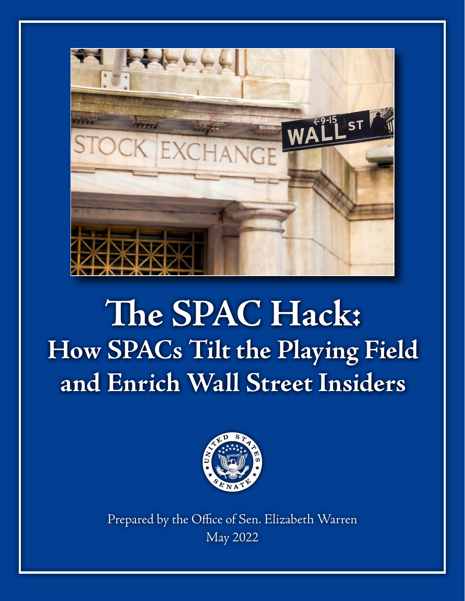

# **The SPAC Hack: How SPACs Tilt the Playing Field and Enrich Wall Street Insiders**



Prepared by the Office of Sen. Elizabeth Warren May 2022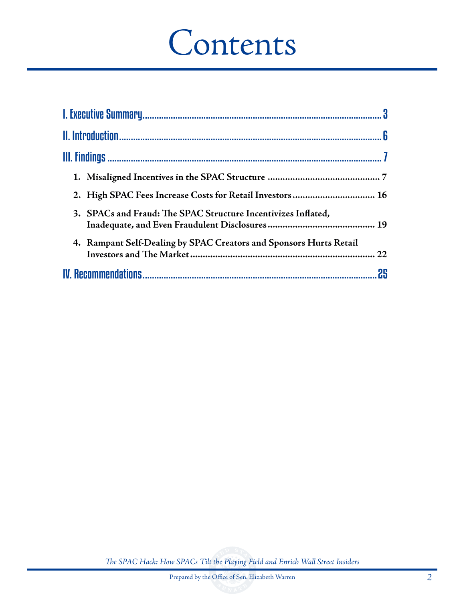# Contents

| 2. High SPAC Fees Increase Costs for Retail Investors  16          |    |
|--------------------------------------------------------------------|----|
| 3. SPACs and Fraud: The SPAC Structure Incentivizes Inflated,      |    |
| 4. Rampant Self-Dealing by SPAC Creators and Sponsors Hurts Retail |    |
|                                                                    | 25 |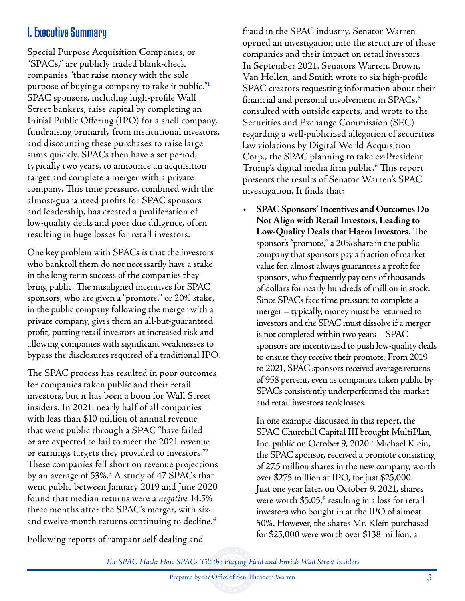# I. Executive Summary

Special Purpose Acquisition Companies, or "SPACs," are publicly traded blank-check companies "that raise money with the sole purpose of buying a company to take it public."**<sup>1</sup>** SPAC sponsors, including high-profile Wall Street bankers, raise capital by completing an Initial Public Offering (IPO) for a shell company, fundraising primarily from institutional investors, and discounting these purchases to raise large sums quickly. SPACs then have a set period, typically two years, to announce an acquisition target and complete a merger with a private company. This time pressure, combined with the almost-guaranteed profits for SPAC sponsors and leadership, has created a proliferation of low-quality deals and poor due diligence, often resulting in huge losses for retail investors.

One key problem with SPACs is that the investors who bankroll them do not necessarily have a stake in the long-term success of the companies they bring public. The misaligned incentives for SPAC sponsors, who are given a "promote," or 20% stake, in the public company following the merger with a private company, gives them an all-but-guaranteed profit, putting retail investors at increased risk and allowing companies with significant weaknesses to bypass the disclosures required of a traditional IPO.

The SPAC process has resulted in poor outcomes for companies taken public and their retail investors, but it has been a boon for Wall Street insiders. In 2021, nearly half of all companies with less than \$10 million of annual revenue that went public through a SPAC "have failed or are expected to fail to meet the 2021 revenue or earnings targets they provided to investors."**<sup>2</sup>** These companies fell short on revenue projections by an average of 53%.**<sup>3</sup>** A study of 47 SPACs that went public between January 2019 and June 2020 found that median returns were a *negative* 14.5% three months after the SPAC's merger, with sixand twelve-month returns continuing to decline.**<sup>4</sup>**

Following reports of rampant self-dealing and

fraud in the SPAC industry, Senator Warren opened an investigation into the structure of these companies and their impact on retail investors. In September 2021, Senators Warren, Brown, Van Hollen, and Smith wrote to six high-profile SPAC creators requesting information about their financial and personal involvement in SPACs,**<sup>5</sup>** consulted with outside experts, and wrote to the Securities and Exchange Commission (SEC) regarding a well-publicized allegation of securities law violations by Digital World Acquisition Corp., the SPAC planning to take ex-President Trump's digital media firm public.**<sup>6</sup>** This report presents the results of Senator Warren's SPAC investigation. It finds that:

**• SPAC Sponsors' Incentives and Outcomes Do Not Align with Retail Investors, Leading to Low-Quality Deals that Harm Investors.** The sponsor's "promote," a 20% share in the public company that sponsors pay a fraction of market value for, almost always guarantees a profit for sponsors, who frequently pay tens of thousands of dollars for nearly hundreds of million in stock. Since SPACs face time pressure to complete a merger – typically, money must be returned to investors and the SPAC must dissolve if a merger is not completed within two years – SPAC sponsors are incentivized to push low-quality deals to ensure they receive their promote. From 2019 to 2021, SPAC sponsors received average returns of 958 percent, even as companies taken public by SPACs consistently underperformed the market and retail investors took losses.

In one example discussed in this report, the SPAC Churchill Capital III brought MultiPlan, Inc. public on October 9, 2020.**<sup>7</sup>** Michael Klein, the SPAC sponsor, received a promote consisting of 27.5 million shares in the new company, worth over \$275 million at IPO, for just \$25,000. Just one year later, on October 9, 2021, shares were worth \$5.05,<sup>8</sup> resulting in a loss for retail investors who bought in at the IPO of almost 50%. However, the shares Mr. Klein purchased for \$25,000 were worth over \$138 million, a

*The SPAC Hack: How SPACs Tilt the Playing Field and Enrich Wall Street Insiders*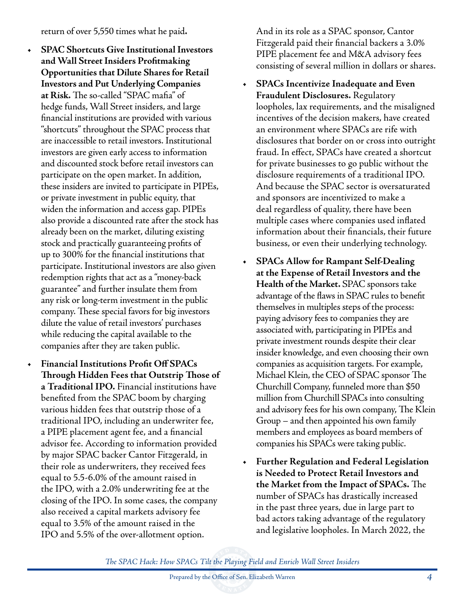#### return of over 5,550 times what he paid**.**

- **• SPAC Shortcuts Give Institutional Investors and Wall Street Insiders Profitmaking Opportunities that Dilute Shares for Retail Investors and Put Underlying Companies at Risk.** The so-called "SPAC mafia" of hedge funds, Wall Street insiders, and large financial institutions are provided with various "shortcuts" throughout the SPAC process that are inaccessible to retail investors. Institutional investors are given early access to information and discounted stock before retail investors can participate on the open market. In addition, these insiders are invited to participate in PIPEs, or private investment in public equity, that widen the information and access gap. PIPEs also provide a discounted rate after the stock has already been on the market, diluting existing stock and practically guaranteeing profits of up to 300% for the financial institutions that participate. Institutional investors are also given redemption rights that act as a "money-back guarantee" and further insulate them from any risk or long-term investment in the public company. These special favors for big investors dilute the value of retail investors' purchases while reducing the capital available to the companies after they are taken public.
- **• Financial Institutions Profit Off SPACs Through Hidden Fees that Outstrip Those of a Traditional IPO.** Financial institutions have benefited from the SPAC boom by charging various hidden fees that outstrip those of a traditional IPO, including an underwriter fee, a PIPE placement agent fee, and a financial advisor fee. According to information provided by major SPAC backer Cantor Fitzgerald, in their role as underwriters, they received fees equal to 5.5-6.0% of the amount raised in the IPO, with a 2.0% underwriting fee at the closing of the IPO. In some cases, the company also received a capital markets advisory fee equal to 3.5% of the amount raised in the IPO and 5.5% of the over-allotment option.

And in its role as a SPAC sponsor, Cantor Fitzgerald paid their financial backers a 3.0% PIPE placement fee and M&A advisory fees consisting of several million in dollars or shares.

- **• SPACs Incentivize Inadequate and Even Fraudulent Disclosures.** Regulatory loopholes, lax requirements, and the misaligned incentives of the decision makers, have created an environment where SPACs are rife with disclosures that border on or cross into outright fraud. In effect, SPACs have created a shortcut for private businesses to go public without the disclosure requirements of a traditional IPO. And because the SPAC sector is oversaturated and sponsors are incentivized to make a deal regardless of quality, there have been multiple cases where companies used inflated information about their financials, their future business, or even their underlying technology.
- **• SPACs Allow for Rampant Self-Dealing at the Expense of Retail Investors and the Health of the Market.** SPAC sponsors take advantage of the flaws in SPAC rules to benefit themselves in multiples steps of the process: paying advisory fees to companies they are associated with, participating in PIPEs and private investment rounds despite their clear insider knowledge, and even choosing their own companies as acquisition targets. For example, Michael Klein, the CEO of SPAC sponsor The Churchill Company, funneled more than \$50 million from Churchill SPACs into consulting and advisory fees for his own company, The Klein Group – and then appointed his own family members and employees as board members of companies his SPACs were taking public.
- **• Further Regulation and Federal Legislation is Needed to Protect Retail Investors and the Market from the Impact of SPACs.** The number of SPACs has drastically increased in the past three years, due in large part to bad actors taking advantage of the regulatory and legislative loopholes. In March 2022, the

*The SPAC Hack: How SPACs Tilt the Playing Field and Enrich Wall Street Insiders*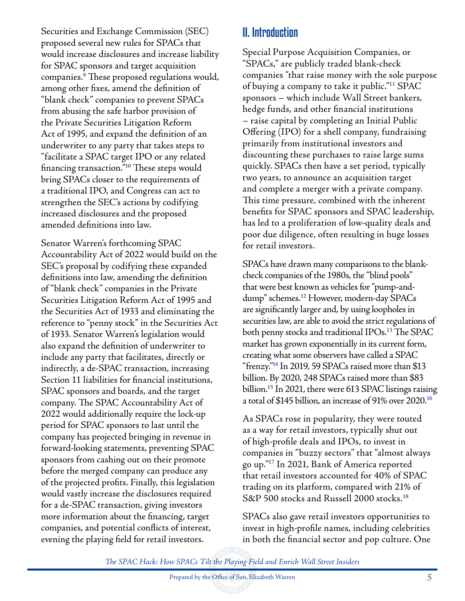Securities and Exchange Commission (SEC) proposed several new rules for SPACs that would increase disclosures and increase liability for SPAC sponsors and target acquisition companies.**<sup>9</sup>** These proposed regulations would, among other fixes, amend the definition of "blank check" companies to prevent SPACs from abusing the safe harbor provision of the Private Securities Litigation Reform Act of 1995, and expand the definition of an underwriter to any party that takes steps to "facilitate a SPAC target IPO or any related financing transaction."**<sup>10</sup>** These steps would bring SPACs closer to the requirements of a traditional IPO, and Congress can act to strengthen the SEC's actions by codifying increased disclosures and the proposed amended definitions into law.

Senator Warren's forthcoming SPAC Accountability Act of 2022 would build on the SEC's proposal by codifying these expanded definitions into law, amending the definition of "blank check" companies in the Private Securities Litigation Reform Act of 1995 and the Securities Act of 1933 and eliminating the reference to "penny stock" in the Securities Act of 1933. Senator Warren's legislation would also expand the definition of underwriter to include any party that facilitates, directly or indirectly, a de-SPAC transaction, increasing Section 11 liabilities for financial institutions, SPAC sponsors and boards, and the target company. The SPAC Accountability Act of 2022 would additionally require the lock-up period for SPAC sponsors to last until the company has projected bringing in revenue in forward-looking statements, preventing SPAC sponsors from cashing out on their promote before the merged company can produce any of the projected profits. Finally, this legislation would vastly increase the disclosures required for a de-SPAC transaction, giving investors more information about the financing, target companies, and potential conflicts of interest, evening the playing field for retail investors.

# II. Introduction

Special Purpose Acquisition Companies, or "SPACs," are publicly traded blank-check companies "that raise money with the sole purpose of buying a company to take it public."**<sup>11</sup>** SPAC sponsors – which include Wall Street bankers, hedge funds, and other financial institutions – raise capital by completing an Initial Public Offering (IPO) for a shell company, fundraising primarily from institutional investors and discounting these purchases to raise large sums quickly. SPACs then have a set period, typically two years, to announce an acquisition target and complete a merger with a private company. This time pressure, combined with the inherent benefits for SPAC sponsors and SPAC leadership, has led to a proliferation of low-quality deals and poor due diligence, often resulting in huge losses for retail investors.

SPACs have drawn many comparisons to the blankcheck companies of the 1980s, the "blind pools" that were best known as vehicles for "pump-anddump" schemes.**<sup>12</sup>** However, modern-day SPACs are significantly larger and, by using loopholes in securities law, are able to avoid the strict regulations of both penny stocks and traditional IPOs.**<sup>13</sup>** The SPAC market has grown exponentially in its current form, creating what some observers have called a SPAC "frenzy."**<sup>14</sup>** In 2019, 59 SPACs raised more than \$13 billion. By 2020, 248 SPACs raised more than \$83 billion.**<sup>15</sup>** In 2021, there were 613 SPAC listings raising a total of \$145 billion, an increase of 91% over 2020.**<sup>16</sup>**

As SPACs rose in popularity, they were touted as a way for retail investors, typically shut out of high-profile deals and IPOs, to invest in companies in "buzzy sectors" that "almost always go up."**<sup>17</sup>** In 2021, Bank of America reported that retail investors accounted for 40% of SPAC trading on its platform, compared with 21% of S&P 500 stocks and Russell 2000 stocks.**<sup>18</sup>**

SPACs also gave retail investors opportunities to invest in high-profile names, including celebrities in both the financial sector and pop culture. One

*The SPAC Hack: How SPACs Tilt the Playing Field and Enrich Wall Street Insiders*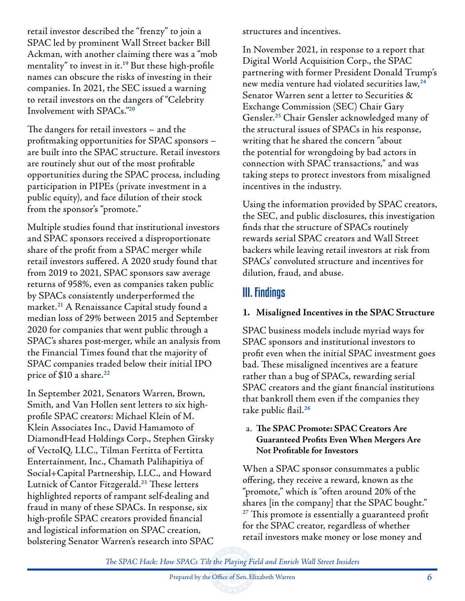retail investor described the "frenzy" to join a SPAC led by prominent Wall Street backer Bill Ackman, with another claiming there was a "mob mentality" to invest in it.**<sup>19</sup>** But these high-profile names can obscure the risks of investing in their companies. In 2021, the SEC issued a warning to retail investors on the dangers of "Celebrity Involvement with SPACs."**<sup>20</sup>**

The dangers for retail investors – and the profitmaking opportunities for SPAC sponsors – are built into the SPAC structure. Retail investors are routinely shut out of the most profitable opportunities during the SPAC process, including participation in PIPEs (private investment in a public equity), and face dilution of their stock from the sponsor's "promote."

Multiple studies found that institutional investors and SPAC sponsors received a disproportionate share of the profit from a SPAC merger while retail investors suffered. A 2020 study found that from 2019 to 2021, SPAC sponsors saw average returns of 958%, even as companies taken public by SPACs consistently underperformed the market.**<sup>21</sup>** A Renaissance Capital study found a median loss of 29% between 2015 and September 2020 for companies that went public through a SPAC's shares post-merger, while an analysis from the Financial Times found that the majority of SPAC companies traded below their initial IPO price of \$10 a share.**<sup>22</sup>**

In September 2021, Senators Warren, Brown, Smith, and Van Hollen sent letters to six highprofile SPAC creators: Michael Klein of M. Klein Associates Inc., David Hamamoto of DiamondHead Holdings Corp., Stephen Girsky of VectoIQ, LLC., Tilman Fertitta of Fertitta Entertainment, Inc., Chamath Palihapitiya of Social+Capital Partnership, LLC., and Howard Lutnick of Cantor Fitzgerald.**<sup>23</sup>** These letters highlighted reports of rampant self-dealing and fraud in many of these SPACs. In response, six high-profile SPAC creators provided financial and logistical information on SPAC creation, bolstering Senator Warren's research into SPAC

structures and incentives.

In November 2021, in response to a report that Digital World Acquisition Corp., the SPAC partnering with former President Donald Trump's new media venture had violated securities law,**<sup>24</sup>** Senator Warren sent a letter to Securities & Exchange Commission (SEC) Chair Gary Gensler.**<sup>25</sup>** Chair Gensler acknowledged many of the structural issues of SPACs in his response, writing that he shared the concern "about the potential for wrongdoing by bad actors in connection with SPAC transactions," and was taking steps to protect investors from misaligned incentives in the industry.

Using the information provided by SPAC creators, the SEC, and public disclosures, this investigation finds that the structure of SPACs routinely rewards serial SPAC creators and Wall Street backers while leaving retail investors at risk from SPACs' convoluted structure and incentives for dilution, fraud, and abuse.

# III. Findings

## **1. Misaligned Incentives in the SPAC Structure**

SPAC business models include myriad ways for SPAC sponsors and institutional investors to profit even when the initial SPAC investment goes bad. These misaligned incentives are a feature rather than a bug of SPACs, rewarding serial SPAC creators and the giant financial institutions that bankroll them even if the companies they take public flail.**<sup>26</sup>**

#### a. **The SPAC Promote: SPAC Creators Are Guaranteed Profits Even When Mergers Are Not Profitable for Investors**

When a SPAC sponsor consummates a public offering, they receive a reward, known as the "promote," which is "often around 20% of the shares [in the company] that the SPAC bought." **<sup>27</sup>** This promote is essentially a guaranteed profit for the SPAC creator, regardless of whether retail investors make money or lose money and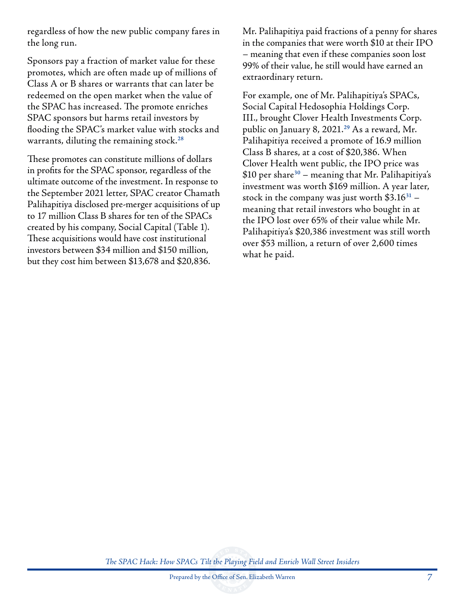regardless of how the new public company fares in the long run.

Sponsors pay a fraction of market value for these promotes, which are often made up of millions of Class A or B shares or warrants that can later be redeemed on the open market when the value of the SPAC has increased. The promote enriches SPAC sponsors but harms retail investors by flooding the SPAC's market value with stocks and warrants, diluting the remaining stock.**<sup>28</sup>**

These promotes can constitute millions of dollars in profits for the SPAC sponsor, regardless of the ultimate outcome of the investment. In response to the September 2021 letter, SPAC creator Chamath Palihapitiya disclosed pre-merger acquisitions of up to 17 million Class B shares for ten of the SPACs created by his company, Social Capital (Table 1). These acquisitions would have cost institutional investors between \$34 million and \$150 million, but they cost him between \$13,678 and \$20,836.

Mr. Palihapitiya paid fractions of a penny for shares in the companies that were worth \$10 at their IPO – meaning that even if these companies soon lost 99% of their value, he still would have earned an extraordinary return.

For example, one of Mr. Palihapitiya's SPACs, Social Capital Hedosophia Holdings Corp. III., brought Clover Health Investments Corp. public on January 8, 2021.**<sup>29</sup>** As a reward, Mr. Palihapitiya received a promote of 16.9 million Class B shares, at a cost of \$20,386. When Clover Health went public, the IPO price was \$10 per share**<sup>30</sup>** – meaning that Mr. Palihapitiya's investment was worth \$169 million. A year later, stock in the company was just worth \$3.16**<sup>31</sup>** – meaning that retail investors who bought in at the IPO lost over 65% of their value while Mr. Palihapitiya's \$20,386 investment was still worth over \$53 million, a return of over 2,600 times what he paid.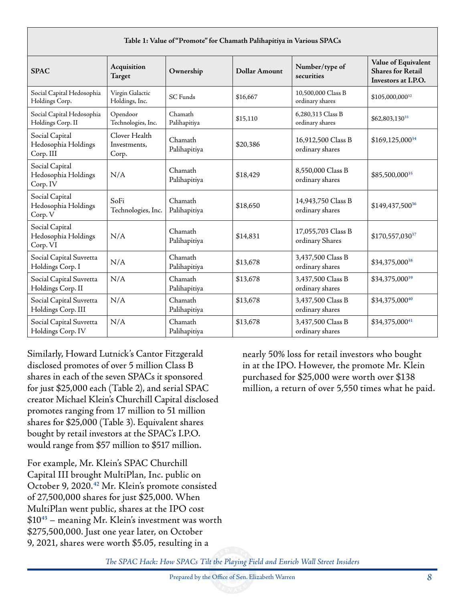| Table 1: Value of "Promote" for Chamath Palihapitiya in Various SPACs |                                        |                         |               |                                       |                                                                        |
|-----------------------------------------------------------------------|----------------------------------------|-------------------------|---------------|---------------------------------------|------------------------------------------------------------------------|
| <b>SPAC</b>                                                           | Acquisition<br>Target                  | Ownership               | Dollar Amount | Number/type of<br>securities          | Value of Equivalent<br><b>Shares for Retail</b><br>Investors at I.P.O. |
| Social Capital Hedosophia<br>Holdings Corp.                           | Virgin Galactic<br>Holdings, Inc.      | <b>SC</b> Funds         | \$16,667      | 10,500,000 Class B<br>ordinary shares | \$105,000,00032                                                        |
| Social Capital Hedosophia<br>Holdings Corp. II                        | Opendoor<br>Technologies, Inc.         | Chamath<br>Palihapitiya | \$15,110      | 6.280.313 Class B<br>ordinary shares  | \$62,803,13033                                                         |
| Social Capital<br>Hedosophia Holdings<br>Corp. III                    | Clover Health<br>Investments.<br>Corp. | Chamath<br>Palihapitiya | \$20,386      | 16,912,500 Class B<br>ordinary shares | \$169,125,00034                                                        |
| Social Capital<br>Hedosophia Holdings<br>Corp. IV                     | N/A                                    | Chamath<br>Palihapitiya | \$18,429      | 8,550,000 Class B<br>ordinary shares  | \$85,500,00035                                                         |
| Social Capital<br>Hedosophia Holdings<br>Corp. V                      | SoFi<br>Technologies, Inc.             | Chamath<br>Palihapitiya | \$18,650      | 14,943,750 Class B<br>ordinary shares | \$149,437,50036                                                        |
| Social Capital<br>Hedosophia Holdings<br>Corp. VI                     | N/A                                    | Chamath<br>Palihapitiya | \$14.831      | 17,055,703 Class B<br>ordinary Shares | \$170,557,03037                                                        |
| Social Capital Suvretta<br>Holdings Corp. I                           | N/A                                    | Chamath<br>Palihapitiya | \$13,678      | 3.437.500 Class B<br>ordinary shares  | \$34,375,00038                                                         |
| Social Capital Suvretta<br>Holdings Corp. II                          | N/A                                    | Chamath<br>Palihapitiya | \$13,678      | 3,437,500 Class B<br>ordinary shares  | \$34,375,000 <sup>39</sup>                                             |
| Social Capital Suvretta<br>Holdings Corp. III                         | N/A                                    | Chamath<br>Palihapitiya | \$13,678      | 3,437,500 Class B<br>ordinary shares  | \$34,375,00040                                                         |
| Social Capital Suvretta<br>Holdings Corp. IV                          | N/A                                    | Chamath<br>Palihapitiya | \$13,678      | 3,437,500 Class B<br>ordinary shares  | \$34,375,00041                                                         |

Similarly, Howard Lutnick's Cantor Fitzgerald disclosed promotes of over 5 million Class B shares in each of the seven SPACs it sponsored for just \$25,000 each (Table 2), and serial SPAC creator Michael Klein's Churchill Capital disclosed promotes ranging from 17 million to 51 million shares for \$25,000 (Table 3). Equivalent shares bought by retail investors at the SPAC's I.P.O. would range from \$57 million to \$517 million.

For example, Mr. Klein's SPAC Churchill Capital III brought MultiPlan, Inc. public on October 9, 2020.**<sup>42</sup>** Mr. Klein's promote consisted of 27,500,000 shares for just \$25,000. When MultiPlan went public, shares at the IPO cost \$10**<sup>43</sup>** – meaning Mr. Klein's investment was worth \$275,500,000. Just one year later, on October 9, 2021, shares were worth \$5.05, resulting in a

nearly 50% loss for retail investors who bought in at the IPO. However, the promote Mr. Klein purchased for \$25,000 were worth over \$138 million, a return of over 5,550 times what he paid.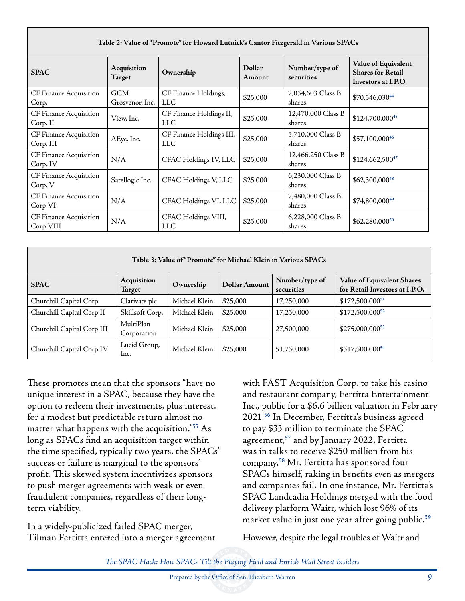| Table 2: Value of "Promote" for Howard Lutnick's Cantor Fitzgerald in Various SPACs |                               |                                       |                  |                              |                                                                        |
|-------------------------------------------------------------------------------------|-------------------------------|---------------------------------------|------------------|------------------------------|------------------------------------------------------------------------|
| <b>SPAC</b>                                                                         | Acquisition<br>Target         | Ownership                             | Dollar<br>Amount | Number/type of<br>securities | Value of Equivalent<br><b>Shares for Retail</b><br>Investors at I.P.O. |
| CF Finance Acquisition<br>Corp.                                                     | <b>GCM</b><br>Grosvenor, Inc. | CF Finance Holdings,<br>LLC           | \$25,000         | 7,054,603 Class B<br>shares  | $$70,546,030^{44}$                                                     |
| CF Finance Acquisition<br>Corp. II                                                  | View. Inc.                    | CF Finance Holdings II,<br><b>LLC</b> | \$25,000         | 12,470,000 Class B<br>shares | \$124,700,00045                                                        |
| CF Finance Acquisition<br>Corp. III                                                 | AEye, Inc.                    | CF Finance Holdings III,<br>LLC.      | \$25,000         | 5,710,000 Class B<br>shares  | \$57,100,00046                                                         |
| CF Finance Acquisition<br>Corp. IV                                                  | N/A                           | CFAC Holdings IV, LLC                 | \$25,000         | 12,466,250 Class B<br>shares | $$124,662,500^{47}$                                                    |
| CF Finance Acquisition<br>Corp. V                                                   | Satellogic Inc.               | CFAC Holdings V, LLC                  | \$25,000         | 6,230,000 Class B<br>shares  | $$62,300,000^{48}$$                                                    |
| CF Finance Acquisition<br>Corp VI                                                   | N/A                           | CFAC Holdings VI, LLC                 | \$25,000         | 7,480,000 Class B<br>shares  | $$74,800,000^{49}$                                                     |
| CF Finance Acquisition<br>Corp VIII                                                 | N/A                           | CFAC Holdings VIII,<br>LLC            | \$25,000         | 6,228,000 Class B<br>shares  | $$62,280,000^{50}$                                                     |

| Table 3: Value of "Promote" for Michael Klein in Various SPACs |                          |               |                      |                              |                                                              |
|----------------------------------------------------------------|--------------------------|---------------|----------------------|------------------------------|--------------------------------------------------------------|
| <b>SPAC</b>                                                    | Acquisition<br>Target    | Ownership     | <b>Dollar Amount</b> | Number/type of<br>securities | Value of Equivalent Shares<br>for Retail Investors at I.P.O. |
| Churchill Capital Corp                                         | Clarivate plc            | Michael Klein | \$25,000             | 17,250,000                   | $$172,500,000^{51}$                                          |
| Churchill Capital Corp II                                      | Skillsoft Corp.          | Michael Klein | \$25,000             | 17,250,000                   | $$172,500,000^{52}$                                          |
| Churchill Capital Corp III                                     | MultiPlan<br>Corporation | Michael Klein | \$25,000             | 27,500,000                   | \$275,000,000 <sup>53</sup>                                  |
| Churchill Capital Corp IV                                      | Lucid Group,<br>lnc.     | Michael Klein | \$25,000             | 51,750,000                   | \$517,500,000 <sup>54</sup>                                  |

These promotes mean that the sponsors "have no unique interest in a SPAC, because they have the option to redeem their investments, plus interest, for a modest but predictable return almost no matter what happens with the acquisition."**<sup>55</sup>** As long as SPACs find an acquisition target within the time specified, typically two years, the SPACs' success or failure is marginal to the sponsors' profit. This skewed system incentivizes sponsors to push merger agreements with weak or even fraudulent companies, regardless of their longterm viability.

In a widely-publicized failed SPAC merger, Tilman Fertitta entered into a merger agreement

with FAST Acquisition Corp. to take his casino and restaurant company, Fertitta Entertainment Inc., public for a \$6.6 billion valuation in February 2021.**<sup>56</sup>** In December, Fertitta's business agreed to pay \$33 million to terminate the SPAC agreement,**<sup>57</sup>** and by January 2022, Fertitta was in talks to receive \$250 million from his company.**<sup>58</sup>** Mr. Fertitta has sponsored four SPACs himself, raking in benefits even as mergers and companies fail. In one instance, Mr. Fertitta's SPAC Landcadia Holdings merged with the food delivery platform Waitr, which lost 96% of its market value in just one year after going public.**<sup>59</sup>**

However, despite the legal troubles of Waitr and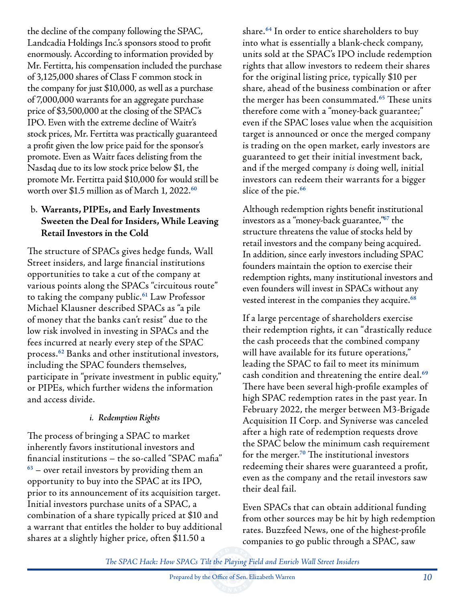the decline of the company following the SPAC, Landcadia Holdings Inc.'s sponsors stood to profit enormously. According to information provided by Mr. Fertitta, his compensation included the purchase of 3,125,000 shares of Class F common stock in the company for just \$10,000, as well as a purchase of 7,000,000 warrants for an aggregate purchase price of \$3,500,000 at the closing of the SPAC's IPO. Even with the extreme decline of Waitr's stock prices, Mr. Fertitta was practically guaranteed a profit given the low price paid for the sponsor's promote. Even as Waitr faces delisting from the Nasdaq due to its low stock price below \$1, the promote Mr. Fertitta paid \$10,000 for would still be worth over \$1.5 million as of March 1, 2022.**<sup>60</sup>**

## b. **Warrants, PIPEs, and Early Investments Sweeten the Deal for Insiders, While Leaving Retail Investors in the Cold**

The structure of SPACs gives hedge funds, Wall Street insiders, and large financial institutions opportunities to take a cut of the company at various points along the SPACs "circuitous route" to taking the company public.**<sup>61</sup>** Law Professor Michael Klausner described SPACs as "a pile of money that the banks can't resist" due to the low risk involved in investing in SPACs and the fees incurred at nearly every step of the SPAC process.**<sup>62</sup>** Banks and other institutional investors, including the SPAC founders themselves, participate in "private investment in public equity," or PIPEs, which further widens the information and access divide.

## *i. Redemption Rights*

The process of bringing a SPAC to market inherently favors institutional investors and financial institutions – the so-called "SPAC mafia" **<sup>63</sup>** – over retail investors by providing them an opportunity to buy into the SPAC at its IPO, prior to its announcement of its acquisition target. Initial investors purchase units of a SPAC, a combination of a share typically priced at \$10 and a warrant that entitles the holder to buy additional shares at a slightly higher price, often \$11.50 a

share.**<sup>64</sup>** In order to entice shareholders to buy into what is essentially a blank-check company, units sold at the SPAC's IPO include redemption rights that allow investors to redeem their shares for the original listing price, typically \$10 per share, ahead of the business combination or after the merger has been consummated.**<sup>65</sup>** These units therefore come with a "money-back guarantee;" even if the SPAC loses value when the acquisition target is announced or once the merged company is trading on the open market, early investors are guaranteed to get their initial investment back, and if the merged company *is* doing well, initial investors can redeem their warrants for a bigger slice of the pie.**<sup>66</sup>**

Although redemption rights benefit institutional investors as a "money-back guarantee,"**<sup>67</sup>** the structure threatens the value of stocks held by retail investors and the company being acquired. In addition, since early investors including SPAC founders maintain the option to exercise their redemption rights, many institutional investors and even founders will invest in SPACs without any vested interest in the companies they acquire.**<sup>68</sup>**

If a large percentage of shareholders exercise their redemption rights, it can "drastically reduce the cash proceeds that the combined company will have available for its future operations," leading the SPAC to fail to meet its minimum cash condition and threatening the entire deal.**<sup>69</sup>** There have been several high-profile examples of high SPAC redemption rates in the past year. In February 2022, the merger between M3-Brigade Acquisition II Corp. and Syniverse was canceled after a high rate of redemption requests drove the SPAC below the minimum cash requirement for the merger.**<sup>70</sup>** The institutional investors redeeming their shares were guaranteed a profit, even as the company and the retail investors saw their deal fail.

Even SPACs that can obtain additional funding from other sources may be hit by high redemption rates. Buzzfeed News, one of the highest-profile companies to go public through a SPAC, saw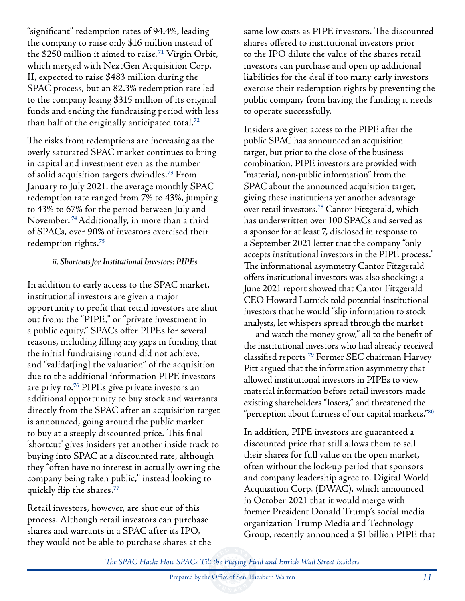"significant" redemption rates of 94.4%, leading the company to raise only \$16 million instead of the \$250 million it aimed to raise.**<sup>71</sup>** Virgin Orbit, which merged with NextGen Acquisition Corp. II, expected to raise \$483 million during the SPAC process, but an 82.3% redemption rate led to the company losing \$315 million of its original funds and ending the fundraising period with less than half of the originally anticipated total.**<sup>72</sup>**

The risks from redemptions are increasing as the overly saturated SPAC market continues to bring in capital and investment even as the number of solid acquisition targets dwindles.**<sup>73</sup>** From January to July 2021, the average monthly SPAC redemption rate ranged from 7% to 43%, jumping to 43% to 67% for the period between July and November. **<sup>74</sup>**Additionally, in more than a third of SPACs, over 90% of investors exercised their redemption rights.**<sup>75</sup>**

#### *ii. Shortcuts for Institutional Investors: PIPEs*

In addition to early access to the SPAC market, institutional investors are given a major opportunity to profit that retail investors are shut out from: the "PIPE," or "private investment in a public equity." SPACs offer PIPEs for several reasons, including filling any gaps in funding that the initial fundraising round did not achieve, and "validat[ing] the valuation" of the acquisition due to the additional information PIPE investors are privy to.**<sup>76</sup>** PIPEs give private investors an additional opportunity to buy stock and warrants directly from the SPAC after an acquisition target is announced, going around the public market to buy at a steeply discounted price. This final 'shortcut' gives insiders yet another inside track to buying into SPAC at a discounted rate, although they "often have no interest in actually owning the company being taken public," instead looking to quickly flip the shares.**<sup>77</sup>**

Retail investors, however, are shut out of this process. Although retail investors can purchase shares and warrants in a SPAC after its IPO, they would not be able to purchase shares at the same low costs as PIPE investors. The discounted shares offered to institutional investors prior to the IPO dilute the value of the shares retail investors can purchase and open up additional liabilities for the deal if too many early investors exercise their redemption rights by preventing the public company from having the funding it needs to operate successfully.

Insiders are given access to the PIPE after the public SPAC has announced an acquisition target, but prior to the close of the business combination. PIPE investors are provided with "material, non-public information" from the SPAC about the announced acquisition target, giving these institutions yet another advantage over retail investors.**<sup>78</sup>** Cantor Fitzgerald, which has underwritten over 100 SPACs and served as a sponsor for at least 7, disclosed in response to a September 2021 letter that the company "only accepts institutional investors in the PIPE process." The informational asymmetry Cantor Fitzgerald offers institutional investors was also shocking; a June 2021 report showed that Cantor Fitzgerald CEO Howard Lutnick told potential institutional investors that he would "slip information to stock analysts, let whispers spread through the market — and watch the money grow," all to the benefit of the institutional investors who had already received classified reports.**<sup>79</sup>** Former SEC chairman Harvey Pitt argued that the information asymmetry that allowed institutional investors in PIPEs to view material information before retail investors made existing shareholders "losers," and threatened the "perception about fairness of our capital markets."**<sup>80</sup>**

In addition, PIPE investors are guaranteed a discounted price that still allows them to sell their shares for full value on the open market, often without the lock-up period that sponsors and company leadership agree to. Digital World Acquisition Corp. (DWAC), which announced in October 2021 that it would merge with former President Donald Trump's social media organization Trump Media and Technology Group, recently announced a \$1 billion PIPE that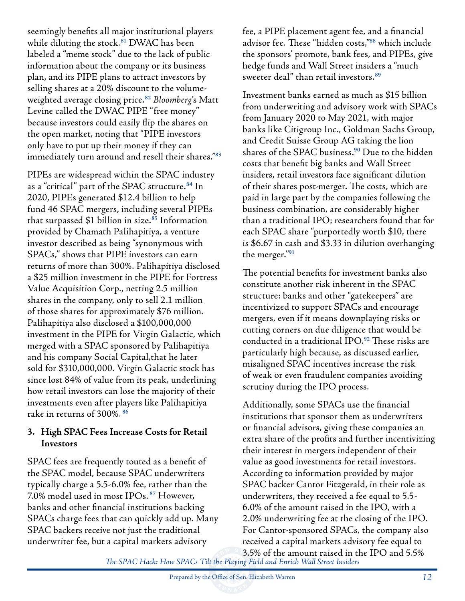seemingly benefits all major institutional players while diluting the stock.**<sup>81</sup>** DWAC has been labeled a "meme stock" due to the lack of public information about the company or its business plan, and its PIPE plans to attract investors by selling shares at a 20% discount to the volumeweighted average closing price.**<sup>82</sup>** *Bloomberg*'s Matt Levine called the DWAC PIPE "free money" because investors could easily flip the shares on the open market, noting that "PIPE investors only have to put up their money if they can immediately turn around and resell their shares."**<sup>83</sup>**

PIPEs are widespread within the SPAC industry as a "critical" part of the SPAC structure.**<sup>84</sup>** In 2020, PIPEs generated \$12.4 billion to help fund 46 SPAC mergers, including several PIPEs that surpassed \$1 billion in size.**<sup>85</sup>** Information provided by Chamath Palihapitiya, a venture investor described as being "synonymous with SPACs," shows that PIPE investors can earn returns of more than 300%. Palihapitiya disclosed a \$25 million investment in the PIPE for Fortress Value Acquisition Corp., netting 2.5 million shares in the company, only to sell 2.1 million of those shares for approximately \$76 million. Palihapitiya also disclosed a \$100,000,000 investment in the PIPE for Virgin Galactic, which merged with a SPAC sponsored by Palihapitiya and his company Social Capital,that he later sold for \$310,000,000. Virgin Galactic stock has since lost 84% of value from its peak, underlining how retail investors can lose the majority of their investments even after players like Palihapitiya rake in returns of 300%. **<sup>86</sup>**

#### **3. High SPAC Fees Increase Costs for Retail Investors**

SPAC fees are frequently touted as a benefit of the SPAC model, because SPAC underwriters typically charge a 5.5-6.0% fee, rather than the 7.0% model used in most IPOs. **<sup>87</sup>** However, banks and other financial institutions backing SPACs charge fees that can quickly add up. Many SPAC backers receive not just the traditional underwriter fee, but a capital markets advisory

fee, a PIPE placement agent fee, and a financial advisor fee. These "hidden costs,"**<sup>88</sup>** which include the sponsors' promote, bank fees, and PIPEs, give hedge funds and Wall Street insiders a "much sweeter deal" than retail investors.**<sup>89</sup>**

Investment banks earned as much as \$15 billion from underwriting and advisory work with SPACs from January 2020 to May 2021, with major banks like Citigroup Inc., Goldman Sachs Group, and Credit Suisse Group AG taking the lion shares of the SPAC business.**<sup>90</sup>** Due to the hidden costs that benefit big banks and Wall Street insiders, retail investors face significant dilution of their shares post-merger. The costs, which are paid in large part by the companies following the business combination, are considerably higher than a traditional IPO; researchers found that for each SPAC share "purportedly worth \$10, there is \$6.67 in cash and \$3.33 in dilution overhanging the merger."**<sup>91</sup>**

The potential benefits for investment banks also constitute another risk inherent in the SPAC structure: banks and other "gatekeepers" are incentivized to support SPACs and encourage mergers, even if it means downplaying risks or cutting corners on due diligence that would be conducted in a traditional IPO.**<sup>92</sup>** These risks are particularly high because, as discussed earlier, misaligned SPAC incentives increase the risk of weak or even fraudulent companies avoiding scrutiny during the IPO process.

Additionally, some SPACs use the financial institutions that sponsor them as underwriters or financial advisors, giving these companies an extra share of the profits and further incentivizing their interest in mergers independent of their value as good investments for retail investors. According to information provided by major SPAC backer Cantor Fitzgerald, in their role as underwriters, they received a fee equal to 5.5- 6.0% of the amount raised in the IPO, with a 2.0% underwriting fee at the closing of the IPO. For Cantor-sponsored SPACs, the company also received a capital markets advisory fee equal to 3.5% of the amount raised in the IPO and 5.5%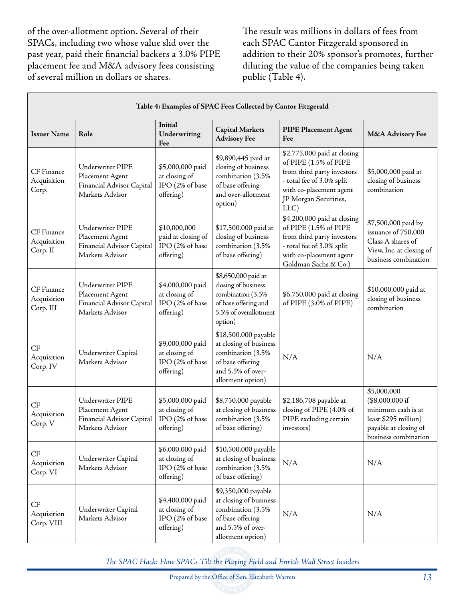of the over-allotment option. Several of their SPACs, including two whose value slid over the past year, paid their financial backers a 3.0% PIPE placement fee and M&A advisory fees consisting of several million in dollars or shares.

The result was millions in dollars of fees from each SPAC Cantor Fitzgerald sponsored in addition to their 20% sponsor's promotes, further diluting the value of the companies being taken public (Table 4).

| Table 4: Examples of SPAC Fees Collected by Cantor Fitzgerald |                                                                                     |                                                                    |                                                                                                                                   |                                                                                                                                                                             |                                                                                                                               |
|---------------------------------------------------------------|-------------------------------------------------------------------------------------|--------------------------------------------------------------------|-----------------------------------------------------------------------------------------------------------------------------------|-----------------------------------------------------------------------------------------------------------------------------------------------------------------------------|-------------------------------------------------------------------------------------------------------------------------------|
| <b>Issuer Name</b>                                            | Role                                                                                | Initial<br>Underwriting<br>Fee                                     | <b>Capital Markets</b><br><b>Advisory Fee</b>                                                                                     | <b>PIPE Placement Agent</b><br>Fee                                                                                                                                          | M&A Advisory Fee                                                                                                              |
| CF Finance<br>Acquisition<br>Corp.                            | Underwriter PIPE<br>Placement Agent<br>Financial Advisor Capital<br>Markets Advisor | \$5,000,000 paid<br>at closing of<br>IPO (2% of base<br>offering)  | \$9,890,445 paid at<br>closing of business<br>combination (3.5%<br>of base offering<br>and over-allotment<br>option)              | \$2,775,000 paid at closing<br>of PIPE (1.5% of PIPE<br>from third party investors<br>- total fee of 3.0% split<br>with co-placement agent<br>JP Morgan Securities,<br>LLC) | \$5,000,000 paid at<br>closing of business<br>combination                                                                     |
| CF Finance<br>Acquisition<br>Corp. II                         | Underwriter PIPE<br>Placement Agent<br>Financial Advisor Capital<br>Markets Advisor | \$10,000,000<br>paid at closing of<br>IPO (2% of base<br>offering) | \$17,500,000 paid at<br>closing of business<br>combination (3.5%<br>of base offering)                                             | \$4,200,000 paid at closing<br>of PIPE (1.5% of PIPE<br>from third party investors<br>- total fee of 3.0% split<br>with co-placement agent<br>Goldman Sachs & Co.)          | \$7,500,000 paid by<br>issuance of 750,000<br>Class A shares of<br>View, Inc. at closing of<br>business combination           |
| CF Finance<br>Acquisition<br>Corp. III                        | Underwriter PIPE<br>Placement Agent<br>Financial Advisor Capital<br>Markets Advisor | \$4,000,000 paid<br>at closing of<br>IPO (2% of base<br>offering)  | \$8,650,000 paid at<br>closing of business<br>combination (3.5%<br>of base offering and<br>5.5% of overallotment<br>option)       | \$6,750,000 paid at closing<br>of PIPE (3.0% of PIPE)                                                                                                                       | \$10,000,000 paid at<br>closing of business<br>combination                                                                    |
| CF<br>Acquisition<br>Corp. IV                                 | Underwriter Capital<br>Markets Advisor                                              | \$9,000,000 paid<br>at closing of<br>IPO (2% of base<br>offering)  | \$18,500,000 payable<br>at closing of business<br>combination (3.5%<br>of base offering<br>and 5.5% of over-<br>allotment option) | N/A                                                                                                                                                                         | N/A                                                                                                                           |
| <b>CF</b><br>Acquisition<br>Corp. V                           | Underwriter PIPE<br>Placement Agent<br>Financial Advisor Capital<br>Markets Advisor | \$5,000,000 paid<br>at closing of<br>IPO (2% of base<br>offering)  | \$8,750,000 payable<br>at closing of business<br>combination (3.5%<br>of base offering)                                           | \$2,186,708 payable at<br>closing of PIPE (4.0% of<br>PIPE excluding certain<br>investors)                                                                                  | \$5,000,000<br>(\$8,000,000 if<br>minimum cash is at<br>least \$295 million)<br>payable at closing of<br>business combination |
| CF<br>Acquisition<br>Corp. VI                                 | Underwriter Capital<br>Markets Advisor                                              | \$6,000,000 paid<br>at closing of<br>IPO (2% of base<br>offering)  | \$10,500,000 payable<br>at closing of business<br>combination (3.5%<br>of base offering)                                          | N/A                                                                                                                                                                         | N/A                                                                                                                           |
| CF<br>Acquisition<br>Corp. VIII                               | Underwriter Capital<br>Markets Advisor                                              | \$4,400,000 paid<br>at closing of<br>IPO (2% of base<br>offering)  | \$9,350,000 payable<br>at closing of business<br>combination (3.5%<br>of base offering<br>and 5.5% of over-<br>allotment option)  | N/A                                                                                                                                                                         | N/A                                                                                                                           |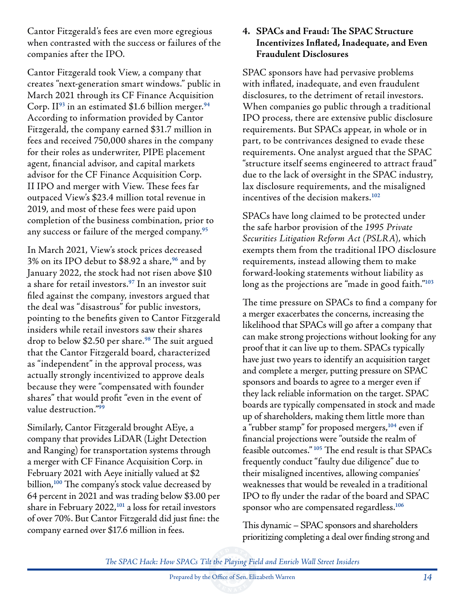Cantor Fitzgerald's fees are even more egregious when contrasted with the success or failures of the companies after the IPO.

Cantor Fitzgerald took View, a company that creates "next-generation smart windows." public in March 2021 through its CF Finance Acquisition Corp. II**<sup>93</sup>** in an estimated \$1.6 billion merger.**<sup>94</sup>** According to information provided by Cantor Fitzgerald, the company earned \$31.7 million in fees and received 750,000 shares in the company for their roles as underwriter, PIPE placement agent, financial advisor, and capital markets advisor for the CF Finance Acquisition Corp. II IPO and merger with View. These fees far outpaced View's \$23.4 million total revenue in 2019, and most of these fees were paid upon completion of the business combination, prior to any success or failure of the merged company.**<sup>95</sup>**

In March 2021, View's stock prices decreased 3% on its IPO debut to \$8.92 a share,**<sup>96</sup>** and by January 2022, the stock had not risen above \$10 a share for retail investors.**<sup>97</sup>** In an investor suit filed against the company, investors argued that the deal was "disastrous" for public investors, pointing to the benefits given to Cantor Fitzgerald insiders while retail investors saw their shares drop to below \$2.50 per share.**<sup>98</sup>** The suit argued that the Cantor Fitzgerald board, characterized as "independent" in the approval process, was actually strongly incentivized to approve deals because they were "compensated with founder shares" that would profit "even in the event of value destruction."**<sup>99</sup>**

Similarly, Cantor Fitzgerald brought AEye, a company that provides LiDAR (Light Detection and Ranging) for transportation systems through a merger with CF Finance Acquisition Corp. in February 2021 with Aeye initially valued at \$2 billion,**<sup>100</sup>** The company's stock value decreased by 64 percent in 2021 and was trading below \$3.00 per share in February 2022,**<sup>101</sup>** a loss for retail investors of over 70%. But Cantor Fitzgerald did just fine: the company earned over \$17.6 million in fees.

#### **4. SPACs and Fraud: The SPAC Structure Incentivizes Inflated, Inadequate, and Even Fraudulent Disclosures**

SPAC sponsors have had pervasive problems with inflated, inadequate, and even fraudulent disclosures, to the detriment of retail investors. When companies go public through a traditional IPO process, there are extensive public disclosure requirements. But SPACs appear, in whole or in part, to be contrivances designed to evade these requirements. One analyst argued that the SPAC "structure itself seems engineered to attract fraud" due to the lack of oversight in the SPAC industry, lax disclosure requirements, and the misaligned incentives of the decision makers.**<sup>102</sup>**

SPACs have long claimed to be protected under the safe harbor provision of the *1995 Private Securities Litigation Reform Act (PSLRA*), which exempts them from the traditional IPO disclosure requirements, instead allowing them to make forward-looking statements without liability as long as the projections are "made in good faith."**<sup>103</sup>**

The time pressure on SPACs to find a company for a merger exacerbates the concerns, increasing the likelihood that SPACs will go after a company that can make strong projections without looking for any proof that it can live up to them. SPACs typically have just two years to identify an acquisition target and complete a merger, putting pressure on SPAC sponsors and boards to agree to a merger even if they lack reliable information on the target. SPAC boards are typically compensated in stock and made up of shareholders, making them little more than a "rubber stamp" for proposed mergers,**<sup>104</sup>** even if financial projections were "outside the realm of feasible outcomes." **<sup>105</sup>** The end result is that SPACs frequently conduct "faulty due diligence" due to their misaligned incentives, allowing companies' weaknesses that would be revealed in a traditional IPO to fly under the radar of the board and SPAC sponsor who are compensated regardless.**<sup>106</sup>**

This dynamic – SPAC sponsors and shareholders prioritizing completing a deal over finding strong and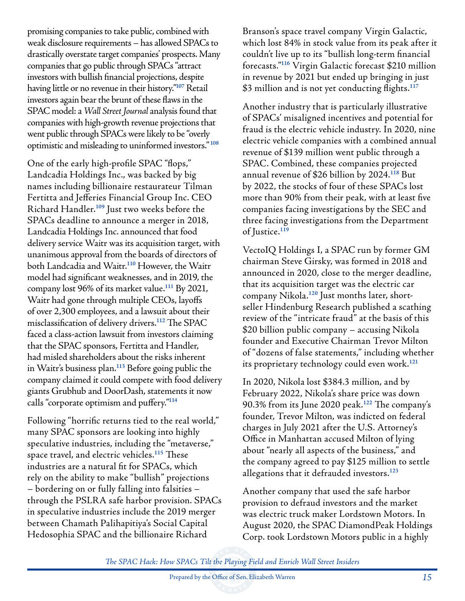promising companies to take public, combined with weak disclosure requirements – has allowed SPACs to drastically overstate target companies' prospects. Many companies that go public through SPACs "attract investors with bullish financial projections, despite having little or no revenue in their history."**<sup>107</sup>** Retail investors again bear the brunt of these flaws in the SPAC model: a *Wall Street Journal* analysis found that companies with high-growth revenue projections that went public through SPACs were likely to be "overly optimistic and misleading to uninformed investors." **<sup>108</sup>**

One of the early high-profile SPAC "flops," Landcadia Holdings Inc., was backed by big names including billionaire restaurateur Tilman Fertitta and Jefferies Financial Group Inc. CEO Richard Handler.**<sup>109</sup>** Just two weeks before the SPACs deadline to announce a merger in 2018, Landcadia Holdings Inc. announced that food delivery service Waitr was its acquisition target, with unanimous approval from the boards of directors of both Landcadia and Waitr.**<sup>110</sup>** However, the Waitr model had significant weaknesses, and in 2019, the company lost 96% of its market value.**<sup>111</sup>** By 2021, Waitr had gone through multiple CEOs, layoffs of over 2,300 employees, and a lawsuit about their misclassification of delivery drivers.**<sup>112</sup>** The SPAC faced a class-action lawsuit from investors claiming that the SPAC sponsors, Fertitta and Handler, had misled shareholders about the risks inherent in Waitr's business plan.**<sup>113</sup>** Before going public the company claimed it could compete with food delivery giants Grubhub and DoorDash, statements it now calls "corporate optimism and puffery."**<sup>114</sup>**

Following "horrific returns tied to the real world," many SPAC sponsors are looking into highly speculative industries, including the "metaverse," space travel, and electric vehicles.**<sup>115</sup>** These industries are a natural fit for SPACs, which rely on the ability to make "bullish" projections – bordering on or fully falling into falsities – through the PSLRA safe harbor provision. SPACs in speculative industries include the 2019 merger between Chamath Palihapitiya's Social Capital Hedosophia SPAC and the billionaire Richard

Branson's space travel company Virgin Galactic, which lost 84% in stock value from its peak after it couldn't live up to its "bullish long-term financial forecasts."**<sup>116</sup>** Virgin Galactic forecast \$210 million in revenue by 2021 but ended up bringing in just \$3 million and is not yet conducting flights.**<sup>117</sup>**

Another industry that is particularly illustrative of SPACs' misaligned incentives and potential for fraud is the electric vehicle industry. In 2020, nine electric vehicle companies with a combined annual revenue of \$139 million went public through a SPAC. Combined, these companies projected annual revenue of \$26 billion by 2024.**<sup>118</sup>** But by 2022, the stocks of four of these SPACs lost more than 90% from their peak, with at least five companies facing investigations by the SEC and three facing investigations from the Department of Justice.**<sup>119</sup>**

VectoIQ Holdings I, a SPAC run by former GM chairman Steve Girsky, was formed in 2018 and announced in 2020, close to the merger deadline, that its acquisition target was the electric car company Nikola.**120** Just months later, shortseller Hindenburg Research published a scathing review of the "intricate fraud" at the basis of this \$20 billion public company – accusing Nikola founder and Executive Chairman Trevor Milton of "dozens of false statements," including whether its proprietary technology could even work.**<sup>121</sup>**

In 2020, Nikola lost \$384.3 million, and by February 2022, Nikola's share price was down 90.3% from its June 2020 peak.**<sup>122</sup>** The company's founder, Trevor Milton, was indicted on federal charges in July 2021 after the U.S. Attorney's Office in Manhattan accused Milton of lying about "nearly all aspects of the business," and the company agreed to pay \$125 million to settle allegations that it defrauded investors.**<sup>123</sup>**

Another company that used the safe harbor provision to defraud investors and the market was electric truck maker Lordstown Motors. In August 2020, the SPAC DiamondPeak Holdings Corp. took Lordstown Motors public in a highly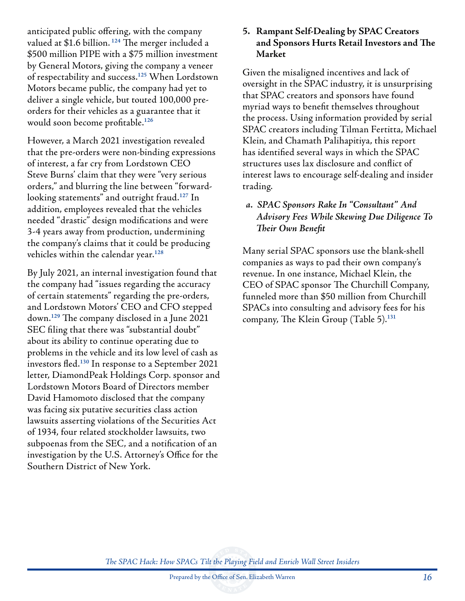anticipated public offering, with the company valued at \$1.6 billion. **<sup>124</sup>** The merger included a \$500 million PIPE with a \$75 million investment by General Motors, giving the company a veneer of respectability and success.**<sup>125</sup>** When Lordstown Motors became public, the company had yet to deliver a single vehicle, but touted 100,000 preorders for their vehicles as a guarantee that it would soon become profitable.**<sup>126</sup>**

However, a March 2021 investigation revealed that the pre-orders were non-binding expressions of interest, a far cry from Lordstown CEO Steve Burns' claim that they were "very serious orders," and blurring the line between "forwardlooking statements" and outright fraud.**<sup>127</sup>** In addition, employees revealed that the vehicles needed "drastic" design modifications and were 3-4 years away from production, undermining the company's claims that it could be producing vehicles within the calendar year.**<sup>128</sup>**

By July 2021, an internal investigation found that the company had "issues regarding the accuracy of certain statements" regarding the pre-orders, and Lordstown Motors' CEO and CFO stepped down.**<sup>129</sup>** The company disclosed in a June 2021 SEC filing that there was "substantial doubt" about its ability to continue operating due to problems in the vehicle and its low level of cash as investors fled.**<sup>130</sup>** In response to a September 2021 letter, DiamondPeak Holdings Corp. sponsor and Lordstown Motors Board of Directors member David Hamomoto disclosed that the company was facing six putative securities class action lawsuits asserting violations of the Securities Act of 1934, four related stockholder lawsuits, two subpoenas from the SEC, and a notification of an investigation by the U.S. Attorney's Office for the Southern District of New York.

#### **5. Rampant Self-Dealing by SPAC Creators and Sponsors Hurts Retail Investors and The Market**

Given the misaligned incentives and lack of oversight in the SPAC industry, it is unsurprising that SPAC creators and sponsors have found myriad ways to benefit themselves throughout the process. Using information provided by serial SPAC creators including Tilman Fertitta, Michael Klein, and Chamath Palihapitiya, this report has identified several ways in which the SPAC structures uses lax disclosure and conflict of interest laws to encourage self-dealing and insider trading.

## *a. SPAC Sponsors Rake In "Consultant" And Advisory Fees While Skewing Due Diligence To Their Own Benefit*

Many serial SPAC sponsors use the blank-shell companies as ways to pad their own company's revenue. In one instance, Michael Klein, the CEO of SPAC sponsor The Churchill Company, funneled more than \$50 million from Churchill SPACs into consulting and advisory fees for his company, The Klein Group (Table 5).**131**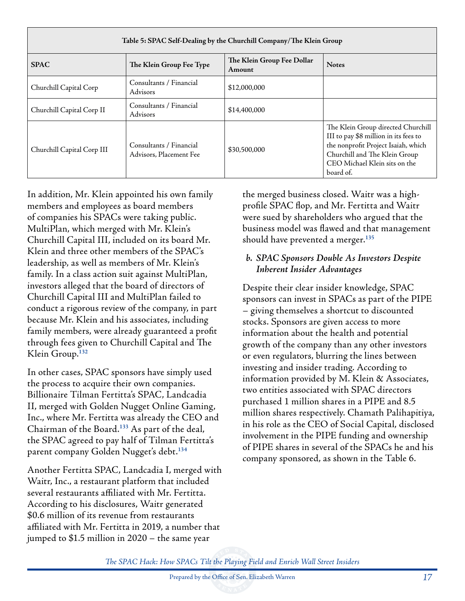| Table 5: SPAC Self-Dealing by the Churchill Company/The Klein Group |                                                    |                                      |                                                                                                                                                                                                   |  |
|---------------------------------------------------------------------|----------------------------------------------------|--------------------------------------|---------------------------------------------------------------------------------------------------------------------------------------------------------------------------------------------------|--|
| <b>SPAC</b>                                                         | The Klein Group Fee Type                           | The Klein Group Fee Dollar<br>Amount | <b>Notes</b>                                                                                                                                                                                      |  |
| Churchill Capital Corp                                              | Consultants / Financial<br><b>Advisors</b>         | \$12,000,000                         |                                                                                                                                                                                                   |  |
| Churchill Capital Corp II                                           | Consultants / Financial<br>Advisors                | \$14,400,000                         |                                                                                                                                                                                                   |  |
| Churchill Capital Corp III                                          | Consultants / Financial<br>Advisors, Placement Fee | \$30,500,000                         | The Klein Group directed Churchill<br>III to pay \$8 million in its fees to<br>the nonprofit Project Isaiah, which<br>Churchill and The Klein Group<br>CEO Michael Klein sits on the<br>board of. |  |

In addition, Mr. Klein appointed his own family members and employees as board members of companies his SPACs were taking public. MultiPlan, which merged with Mr. Klein's Churchill Capital III, included on its board Mr. Klein and three other members of the SPAC's leadership, as well as members of Mr. Klein's family. In a class action suit against MultiPlan, investors alleged that the board of directors of Churchill Capital III and MultiPlan failed to conduct a rigorous review of the company, in part because Mr. Klein and his associates, including family members, were already guaranteed a profit through fees given to Churchill Capital and The Klein Group.**<sup>132</sup>**

In other cases, SPAC sponsors have simply used the process to acquire their own companies. Billionaire Tilman Fertitta's SPAC, Landcadia II, merged with Golden Nugget Online Gaming, Inc., where Mr. Fertitta was already the CEO and Chairman of the Board.**<sup>133</sup>** As part of the deal, the SPAC agreed to pay half of Tilman Fertitta's parent company Golden Nugget's debt.**<sup>134</sup>**

Another Fertitta SPAC, Landcadia I, merged with Waitr, Inc., a restaurant platform that included several restaurants affiliated with Mr. Fertitta. According to his disclosures, Waitr generated \$0.6 million of its revenue from restaurants affiliated with Mr. Fertitta in 2019, a number that jumped to \$1.5 million in 2020 – the same year

the merged business closed. Waitr was a highprofile SPAC flop, and Mr. Fertitta and Waitr were sued by shareholders who argued that the business model was flawed and that management should have prevented a merger.**<sup>135</sup>**

#### *b. SPAC Sponsors Double As Investors Despite Inherent Insider Advantages*

Despite their clear insider knowledge, SPAC sponsors can invest in SPACs as part of the PIPE – giving themselves a shortcut to discounted stocks. Sponsors are given access to more information about the health and potential growth of the company than any other investors or even regulators, blurring the lines between investing and insider trading. According to information provided by M. Klein & Associates, two entities associated with SPAC directors purchased 1 million shares in a PIPE and 8.5 million shares respectively. Chamath Palihapitiya, in his role as the CEO of Social Capital, disclosed involvement in the PIPE funding and ownership of PIPE shares in several of the SPACs he and his company sponsored, as shown in the Table 6.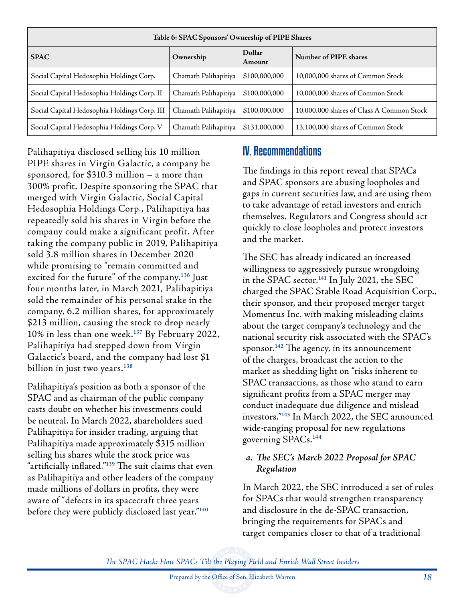| Table 6: SPAC Sponsors' Ownership of PIPE Shares |                      |                         |                                           |  |
|--------------------------------------------------|----------------------|-------------------------|-------------------------------------------|--|
| <b>SPAC</b>                                      | Ownership            | <b>Dollar</b><br>Amount | Number of PIPE shares                     |  |
| Social Capital Hedosophia Holdings Corp.         | Chamath Palihapitiya | \$100,000,000           | 10,000,000 shares of Common Stock         |  |
| Social Capital Hedosophia Holdings Corp. II      | Chamath Palihapitiya | \$100,000,000           | 10,000,000 shares of Common Stock         |  |
| Social Capital Hedosophia Holdings Corp. III     | Chamath Palihapitiya | \$100,000,000           | 10,000,000 shares of Class A Common Stock |  |
| Social Capital Hedosophia Holdings Corp. V       | Chamath Palihapitiya | \$131,000,000           | 13,100,000 shares of Common Stock         |  |

Palihapitiya disclosed selling his 10 million PIPE shares in Virgin Galactic, a company he sponsored, for \$310.3 million – a more than 300% profit. Despite sponsoring the SPAC that merged with Virgin Galactic, Social Capital Hedosophia Holdings Corp., Palihapitiya has repeatedly sold his shares in Virgin before the company could make a significant profit. After taking the company public in 2019, Palihapitiya sold 3.8 million shares in December 2020 while promising to "remain committed and excited for the future" of the company.**<sup>136</sup>** Just four months later, in March 2021, Palihapitiya sold the remainder of his personal stake in the company, 6.2 million shares, for approximately \$213 million, causing the stock to drop nearly 10% in less than one week.**<sup>137</sup>** By February 2022, Palihapitiya had stepped down from Virgin Galactic's board, and the company had lost \$1 billion in just two years.**<sup>138</sup>**

Palihapitiya's position as both a sponsor of the SPAC and as chairman of the public company casts doubt on whether his investments could be neutral. In March 2022, shareholders sued Palihapitiya for insider trading, arguing that Palihapitiya made approximately \$315 million selling his shares while the stock price was "artificially inflated."**<sup>139</sup>** The suit claims that even as Palihapitiya and other leaders of the company made millions of dollars in profits, they were aware of "defects in its spacecraft three years before they were publicly disclosed last year."**<sup>140</sup>**

# IV. Recommendations

The findings in this report reveal that SPACs and SPAC sponsors are abusing loopholes and gaps in current securities law, and are using them to take advantage of retail investors and enrich themselves. Regulators and Congress should act quickly to close loopholes and protect investors and the market.

The SEC has already indicated an increased willingness to aggressively pursue wrongdoing in the SPAC sector.**<sup>141</sup>** In July 2021, the SEC charged the SPAC Stable Road Acquisition Corp., their sponsor, and their proposed merger target Momentus Inc. with making misleading claims about the target company's technology and the national security risk associated with the SPAC's sponsor.**<sup>142</sup>** The agency, in its announcement of the charges, broadcast the action to the market as shedding light on "risks inherent to SPAC transactions, as those who stand to earn significant profits from a SPAC merger may conduct inadequate due diligence and mislead investors."**<sup>143</sup>** In March 2022, the SEC announced wide-ranging proposal for new regulations governing SPACs.**<sup>144</sup>**

#### *a. The SEC's March 2022 Proposal for SPAC Regulation*

In March 2022, the SEC introduced a set of rules for SPACs that would strengthen transparency and disclosure in the de-SPAC transaction, bringing the requirements for SPACs and target companies closer to that of a traditional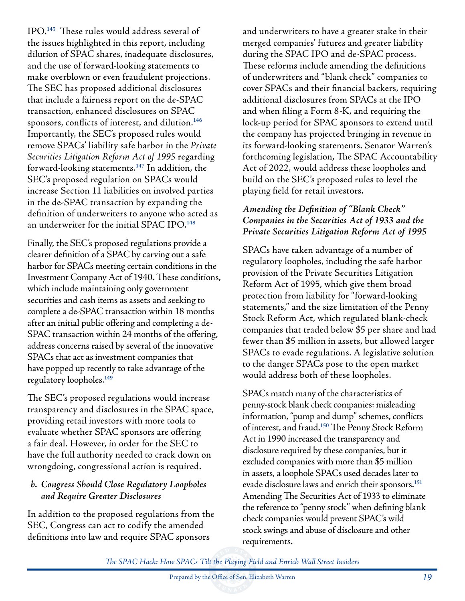IPO.**<sup>145</sup>** These rules would address several of the issues highlighted in this report, including dilution of SPAC shares, inadequate disclosures, and the use of forward-looking statements to make overblown or even fraudulent projections. The SEC has proposed additional disclosures that include a fairness report on the de-SPAC transaction, enhanced disclosures on SPAC sponsors, conflicts of interest, and dilution.**<sup>146</sup>** Importantly, the SEC's proposed rules would remove SPACs' liability safe harbor in the *Private Securities Litigation Reform Act of 1995* regarding forward-looking statements.**<sup>147</sup>** In addition, the SEC's proposed regulation on SPACs would increase Section 11 liabilities on involved parties in the de-SPAC transaction by expanding the definition of underwriters to anyone who acted as an underwriter for the initial SPAC IPO.**<sup>148</sup>**

Finally, the SEC's proposed regulations provide a clearer definition of a SPAC by carving out a safe harbor for SPACs meeting certain conditions in the Investment Company Act of 1940. These conditions, which include maintaining only government securities and cash items as assets and seeking to complete a de-SPAC transaction within 18 months after an initial public offering and completing a de-SPAC transaction within 24 months of the offering, address concerns raised by several of the innovative SPACs that act as investment companies that have popped up recently to take advantage of the regulatory loopholes.**<sup>149</sup>**

The SEC's proposed regulations would increase transparency and disclosures in the SPAC space, providing retail investors with more tools to evaluate whether SPAC sponsors are offering a fair deal. However, in order for the SEC to have the full authority needed to crack down on wrongdoing, congressional action is required.

#### *b. Congress Should Close Regulatory Loopholes and Require Greater Disclosures*

In addition to the proposed regulations from the SEC, Congress can act to codify the amended definitions into law and require SPAC sponsors

and underwriters to have a greater stake in their merged companies' futures and greater liability during the SPAC IPO and de-SPAC process. These reforms include amending the definitions of underwriters and "blank check" companies to cover SPACs and their financial backers, requiring additional disclosures from SPACs at the IPO and when filing a Form 8-K, and requiring the lock-up period for SPAC sponsors to extend until the company has projected bringing in revenue in its forward-looking statements. Senator Warren's forthcoming legislation, The SPAC Accountability Act of 2022, would address these loopholes and build on the SEC's proposed rules to level the playing field for retail investors.

### *Amending the Definition of "Blank Check" Companies in the Securities Act of 1933 and the Private Securities Litigation Reform Act of 1995*

SPACs have taken advantage of a number of regulatory loopholes, including the safe harbor provision of the Private Securities Litigation Reform Act of 1995, which give them broad protection from liability for "forward-looking statements," and the size limitation of the Penny Stock Reform Act, which regulated blank-check companies that traded below \$5 per share and had fewer than \$5 million in assets, but allowed larger SPACs to evade regulations. A legislative solution to the danger SPACs pose to the open market would address both of these loopholes.

SPACs match many of the characteristics of penny-stock blank check companies: misleading information, "pump and dump" schemes, conflicts of interest, and fraud.**<sup>150</sup>** The Penny Stock Reform Act in 1990 increased the transparency and disclosure required by these companies, but it excluded companies with more than \$5 million in assets, a loophole SPACs used decades later to evade disclosure laws and enrich their sponsors.**<sup>151</sup>** Amending The Securities Act of 1933 to eliminate the reference to "penny stock" when defining blank check companies would prevent SPAC's wild stock swings and abuse of disclosure and other requirements.

*The SPAC Hack: How SPACs Tilt the Playing Field and Enrich Wall Street Insiders*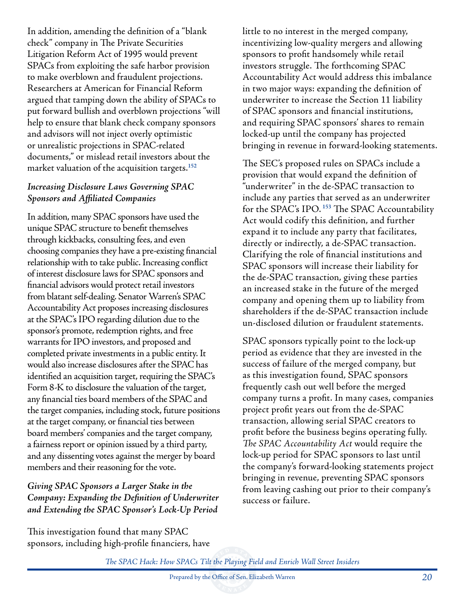In addition, amending the definition of a "blank check" company in The Private Securities Litigation Reform Act of 1995 would prevent SPACs from exploiting the safe harbor provision to make overblown and fraudulent projections. Researchers at American for Financial Reform argued that tamping down the ability of SPACs to put forward bullish and overblown projections "will help to ensure that blank check company sponsors and advisors will not inject overly optimistic or unrealistic projections in SPAC-related documents," or mislead retail investors about the market valuation of the acquisition targets.**<sup>152</sup>**

## *Increasing Disclosure Laws Governing SPAC Sponsors and Affiliated Companies*

In addition, many SPAC sponsors have used the unique SPAC structure to benefit themselves through kickbacks, consulting fees, and even choosing companies they have a pre-existing financial relationship with to take public. Increasing conflict of interest disclosure laws for SPAC sponsors and financial advisors would protect retail investors from blatant self-dealing. Senator Warren's SPAC Accountability Act proposes increasing disclosures at the SPAC's IPO regarding dilution due to the sponsor's promote, redemption rights, and free warrants for IPO investors, and proposed and completed private investments in a public entity. It would also increase disclosures after the SPAC has identified an acquisition target, requiring the SPAC's Form 8-K to disclosure the valuation of the target, any financial ties board members of the SPAC and the target companies, including stock, future positions at the target company, or financial ties between board members' companies and the target company, a fairness report or opinion issued by a third party, and any dissenting votes against the merger by board members and their reasoning for the vote.

## *Giving SPAC Sponsors a Larger Stake in the Company: Expanding the Definition of Underwriter and Extending the SPAC Sponsor's Lock-Up Period*

This investigation found that many SPAC sponsors, including high-profile financiers, have little to no interest in the merged company, incentivizing low-quality mergers and allowing sponsors to profit handsomely while retail investors struggle. The forthcoming SPAC Accountability Act would address this imbalance in two major ways: expanding the definition of underwriter to increase the Section 11 liability of SPAC sponsors and financial institutions, and requiring SPAC sponsors' shares to remain locked-up until the company has projected bringing in revenue in forward-looking statements.

The SEC's proposed rules on SPACs include a provision that would expand the definition of "underwriter" in the de-SPAC transaction to include any parties that served as an underwriter for the SPAC's IPO. **<sup>153</sup>** The SPAC Accountability Act would codify this definition, and further expand it to include any party that facilitates, directly or indirectly, a de-SPAC transaction. Clarifying the role of financial institutions and SPAC sponsors will increase their liability for the de-SPAC transaction, giving these parties an increased stake in the future of the merged company and opening them up to liability from shareholders if the de-SPAC transaction include un-disclosed dilution or fraudulent statements.

SPAC sponsors typically point to the lock-up period as evidence that they are invested in the success of failure of the merged company, but as this investigation found, SPAC sponsors frequently cash out well before the merged company turns a profit. In many cases, companies project profit years out from the de-SPAC transaction, allowing serial SPAC creators to profit before the business begins operating fully. *The SPAC Accountability Act* would require the lock-up period for SPAC sponsors to last until the company's forward-looking statements project bringing in revenue, preventing SPAC sponsors from leaving cashing out prior to their company's success or failure.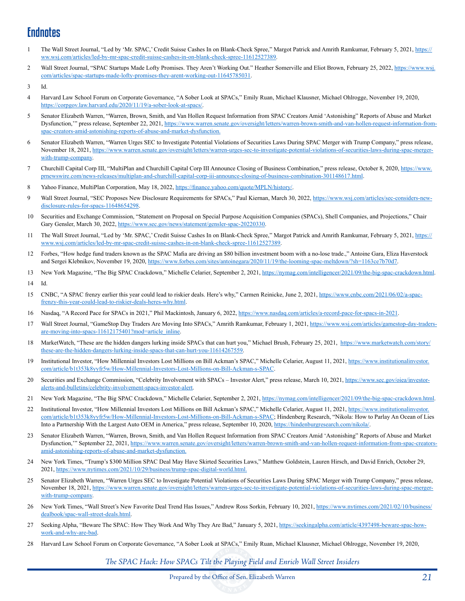# **Endnotes**

- 1 The Wall Street Journal, "Led by 'Mr. SPAC,' Credit Suisse Cashes In on Blank-Check Spree," Margot Patrick and Amrith Ramkumar, February 5, 2021, https:// ww.wsj.com/articles/led-by-mr-spac-credit-suisse-cashes-in-on-blank-check-spree-11612527389.
- 2 Wall Street Journal, "SPAC Startups Made Lofty Promises. They Aren't Working Out." Heather Somerville and Eliot Brown, February 25, 2022, https://www.wsj. com/articles/spac-startups-made-lofty-promises-they-arent-working-out-11645785031.

- 4 Harvard Law School Forum on Corporate Governance, "A Sober Look at SPACs," Emily Ruan, Michael Klausner, Michael Ohlrogge, November 19, 2020, https://corpgov.law.harvard.edu/2020/11/19/a-sober-look-at-spacs/.
- 5 Senator Elizabeth Warren, "Warren, Brown, Smith, and Van Hollen Request Information from SPAC Creators Amid 'Astonishing" Reports of Abuse and Market Dysfunction,'" press release, September 22, 2021, https://www.warren.senate.gov/oversight/letters/warren-brown-smith-and-van-hollen-request-information-fromspac-creators-amid-astonishing-reports-of-abuse-and-market-dysfunction.
- 6 Senator Elizabeth Warren, "Warren Urges SEC to Investigate Potential Violations of Securities Laws During SPAC Merger with Trump Company," press release, November 18, 2021, https://www.warren.senate.gov/oversight/letters/warren-urges-sec-to-investigate-potential-violations-of-securities-laws-during-spac-mergerwith-trump-company.
- 7 Churchill Capital Corp III, "MultiPlan and Churchill Capital Corp III Announce Closing of Business Combination," press release, October 8, 2020, https://www. prnewswire.com/news-releases/multiplan-and-churchill-capital-corp-iii-announce-closing-of-business-combination-301148617.html.
- 8 Yahoo Finance, MultiPlan Corporation, May 18, 2022, https://finance.yahoo.com/quote/MPLN/history/.
- 9 Wall Street Journal, "SEC Proposes New Disclosure Requirements for SPACs," Paul Kiernan, March 30, 2022, https://www.wsj.com/articles/sec-considers-newdisclosure-rules-for-spacs-11648654298.
- 10 Securities and Exchange Commission, "Statement on Proposal on Special Purpose Acquisition Companies (SPACs), Shell Companies, and Projections," Chair Gary Gensler, March 30, 2022, https://www.sec.gov/news/statement/gensler-spac-20220330.
- 11 The Wall Street Journal, "Led by 'Mr. SPAC,' Credit Suisse Cashes In on Blank-Check Spree," Margot Patrick and Amrith Ramkumar, February 5, 2021, https:// www.wsj.com/articles/led-by-mr-spac-credit-suisse-cashes-in-on-blank-check-spree-11612527389.
- 12 Forbes, "How hedge fund traders known as the SPAC Mafia are driving an \$80 billion investment boom with a no-lose trade.," Antoine Gara, Eliza Haverstock and Sergei Klebnikov, November 19, 2020, https://www.forbes.com/sites/antoinegara/2020/11/19/the-looming-spac-meltdown/?sh=1163ce7b70d7.
- 13 New York Magazine, "The Big SPAC Crackdown," Michelle Celarier, September 2, 2021, https://nymag.com/intelligencer/2021/09/the-big-spac-crackdown.html. 14 Id.
- 15 CNBC, "A SPAC frenzy earlier this year could lead to riskier deals. Here's why," Carmen Reinicke, June 2, 2021, https://www.cnbc.com/2021/06/02/a-spacfrenzy-this-year-could-lead-to-riskier-deals-heres-why.html.
- 16 Nasdaq, "A Record Pace for SPACs in 2021," Phil Mackintosh, January 6, 2022, https://www.nasdaq.com/articles/a-record-pace-for-spacs-in-2021.
- 17 Wall Street Journal, "GameStop Day Traders Are Moving Into SPACs," Amrith Ramkumar, February 1, 2021, https://www.wsj.com/articles/gamestop-day-tradersare-moving-into-spacs-11612175401?mod=article\_inline.
- 18 MarketWatch, "These are the hidden dangers lurking inside SPACs that can hurt you," Michael Brush, February 25, 2021, https://www.marketwatch.com/story/ these-are-the-hidden-dangers-lurking-inside-spacs-that-can-hurt-you-11614267559.
- 19 Institutional Investor, "How Millennial Investors Lost Millions on Bill Ackman's SPAC," Michelle Celarier, August 11, 2021, https://www.institutionalinvestor. com/article/b1t353k8yyfr5w/How-Millennial-Investors-Lost-Millions-on-Bill-Ackman-s-SPAC.
- 20 Securities and Exchange Commission, "Celebrity Involvement with SPACs Investor Alert," press release, March 10, 2021, https://www.sec.gov/oiea/investoralerts-and-bulletins/celebrity-involvement-spacs-investor-alert.
- 21 New York Magazine, "The Big SPAC Crackdown," Michelle Celarier, September 2, 2021, https://nymag.com/intelligencer/2021/09/the-big-spac-crackdown.html.
- 22 Institutional Investor, "How Millennial Investors Lost Millions on Bill Ackman's SPAC," Michelle Celarier, August 11, 2021, https://www.institutionalinvestor. com/article/b1t353k8yyfr5w/How-Millennial-Investors-Lost-Millions-on-Bill-Ackman-s-SPAC; Hindenberg Research, "Nikola: How to Parlay An Ocean of Lies Into a Partnership With the Largest Auto OEM in America," press release, September 10, 2020, https://hindenburgresearch.com/nikola/.
- 23 Senator Elizabeth Warren, "Warren, Brown, Smith, and Van Hollen Request Information from SPAC Creators Amid 'Astonishing" Reports of Abuse and Market Dysfunction," September 22, 2021, https://www.warren.senate.gov/oversight/letters/warren-brown-smith-and-van-hollen-request-information-from-spac-creatorsamid-astonishing-reports-of-abuse-and-market-dysfunction.
- 24 New York Times, "Trump's \$300 Million SPAC Deal May Have Skirted Securities Laws," Matthew Goldstein, Lauren Hirsch, and David Enrich, October 29, 2021, https://www.nytimes.com/2021/10/29/business/trump-spac-digital-world.html.
- 25 Senator Elizabeth Warren, "Warren Urges SEC to Investigate Potential Violations of Securities Laws During SPAC Merger with Trump Company," press release, November 18, 2021, https://www.warren.senate.gov/oversight/letters/warren-urges-sec-to-investigate-potential-violations-of-securities-laws-during-spac-mergerwith-trump-company.
- 26 New York Times, "Wall Street's New Favorite Deal Trend Has Issues," Andrew Ross Sorkin, February 10, 2021, https://www.nytimes.com/2021/02/10/business/ dealbook/spac-wall-street-deals.html.
- 27 Seeking Alpha, "Beware The SPAC: How They Work And Why They Are Bad," January 5, 2021, https://seekingalpha.com/article/4397498-beware-spac-howwork-and-why-are-bad.
- 28 Harvard Law School Forum on Corporate Governance, "A Sober Look at SPACs," Emily Ruan, Michael Klausner, Michael Ohlrogge, November 19, 2020,

<sup>3</sup> Id.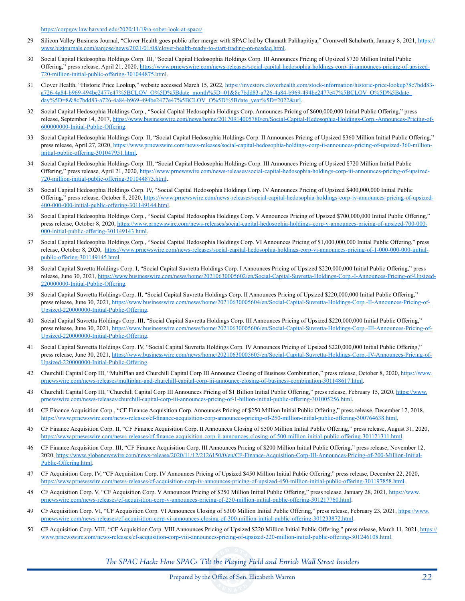https://corpgov.law.harvard.edu/2020/11/19/a-sober-look-at-spacs/.

- 29 Silicon Valley Business Journal, "Clover Health goes public after merger with SPAC led by Chamath Palihapitiya," Cromwell Schubarth, January 8, 2021, https:// www.bizjournals.com/sanjose/news/2021/01/08/clover-health-ready-to-start-trading-on-nasdaq.html.
- 30 Social Capital Hedosophia Holdings Corp. III, "Social Capital Hedosophia Holdings Corp. III Announces Pricing of Upsized \$720 Million Initial Public Offering," press release, April 21, 2020, https://www.prnewswire.com/news-releases/social-capital-hedosophia-holdings-corp-iii-announces-pricing-of-upsized-720-million-initial-public-offering-301044875.html.
- 31 Clover Health, "Historic Price Lookup," website accessed March 15, 2022, https://investors.cloverhealth.com/stock-information/historic-price-lookup?8c7bdd83a726-4a84-b969-494be2477e47%5BCLOV\_O%5D%5Bdate\_month%5D=01&8c7bdd83-a726-4a84-b969-494be2477e47%5BCLOV\_O%5D%5Bdate\_ day%5D=8&8c7bdd83-a726-4a84-b969-494be2477e47%5BCLOV\_O%5D%5Bdate\_year%5D=2022&url.
- 32 Social Capital Hedosophia Holdings Corp., "Social Capital Hedosophia Holdings Corp. Announces Pricing of \$600,000,000 Initial Public Offering," press release, September 14, 2017, https://www.businesswire.com/news/home/20170914005780/en/Social-Capital-Hedosophia-Holdings-Corp.-Announces-Pricing-of-600000000-Initial-Public-Offering.
- 33 Social Capital Hedosophia Holdings Corp. II, "Social Capital Hedosophia Holdings Corp. II Announces Pricing of Upsized \$360 Million Initial Public Offering," press release, April 27, 2020, https://www.prnewswire.com/news-releases/social-capital-hedosophia-holdings-corp-ii-announces-pricing-of-upsized-360-millioninitial-public-offering-301047951.html.
- 34 Social Capital Hedosophia Holdings Corp. III, "Social Capital Hedosophia Holdings Corp. III Announces Pricing of Upsized \$720 Million Initial Public Offering," press release, April 21, 2020, https://www.prnewswire.com/news-releases/social-capital-hedosophia-holdings-corp-iii-announces-pricing-of-upsized-720-million-initial-public-offering-301044875.html.
- 35 Social Capital Hedosophia Holdings Corp. IV, "Social Capital Hedosophia Holdings Corp. IV Announces Pricing of Upsized \$400,000,000 Initial Public Offering," press release, October 8, 2020, https://www.prnewswire.com/news-releases/social-capital-hedosophia-holdings-corp-iv-announces-pricing-of-upsized-400-000-000-initial-public-offering-301149144.html.
- 36 Social Capital Hedosophia Holdings Corp., "Social Capital Hedosophia Holdings Corp. V Announces Pricing of Upsized \$700,000,000 Initial Public Offering," press release, October 8, 2020, https://www.prnewswire.com/news-releases/social-capital-hedosophia-holdings-corp-v-announces-pricing-of-upsized-700-000- 000-initial-public-offering-301149143.html.
- 37 Social Capital Hedosophia Holdings Corp., "Social Capital Hedosophia Holdings Corp. VI Announces Pricing of \$1,000,000,000 Initial Public Offering," press release, October 8, 2020, https://www.prnewswire.com/news-releases/social-capital-hedosophia-holdings-corp-vi-announces-pricing-of-1-000-000-000-initialpublic-offering-301149145.html.
- 38 Social Capital Suvetta Holdings Corp. I, "Social Capital Suvretta Holdings Corp. I Announces Pricing of Upsized \$220,000,000 Initial Public Offering," press release, June 30, 2021, https://www.businesswire.com/news/home/20210630005602/en/Social-Capital-Suvretta-Holdings-Corp.-I-Announces-Pricing-of-Upsized-220000000-Initial-Public-Offering.
- 39 Social Capital Suvretta Holdings Corp. II, "Social Capital Suvretta Holdings Corp. II Announces Pricing of Upsized \$220,000,000 Initial Public Offering," press release, June 30, 2021, https://www.businesswire.com/news/home/20210630005604/en/Social-Capital-Suvretta-Holdings-Corp.-II-Announces-Pricing-of-Upsized-220000000-Initial-Public-Offering.
- 40 Social Capital Suvretta Holdings Corp. III, "Social Capital Suvretta Holdings Corp. III Announces Pricing of Upsized \$220,000,000 Initial Public Offering," press release, June 30, 2021, https://www.businesswire.com/news/home/20210630005606/en/Social-Capital-Suvretta-Holdings-Corp.-III-Announces-Pricing-of-Upsized-220000000-Initial-Public-Offering.
- 41 Social Capital Suvretta Holdings Corp. IV, "Social Capital Suvretta Holdings Corp. IV Announces Pricing of Upsized \$220,000,000 Initial Public Offering," press release, June 30, 2021, https://www.businesswire.com/news/home/20210630005605/en/Social-Capital-Suvretta-Holdings-Corp.-IV-Announces-Pricing-of-Upsized-220000000-Initial-Public-Offering.
- 42 Churchill Capital Corp III, "MultiPlan and Churchill Capital Corp III Announce Closing of Business Combination," press release, October 8, 2020, https://www. prnewswire.com/news-releases/multiplan-and-churchill-capital-corp-iii-announce-closing-of-business-combination-301148617.html.
- 43 Churchill Capital Corp III, "Churchill Capital Corp III Announces Pricing of \$1 Billion Initial Public Offering," press release, February 15, 2020, https://www. prnewswire.com/news-releases/churchill-capital-corp-iii-announces-pricing-of-1-billion-initial-public-offering-301005256.html.
- 44 CF Finance Acquisition Corp., "CF Finance Acquisition Corp. Announces Pricing of \$250 Million Initial Public Offering," press release, December 12, 2018, https://www.prnewswire.com/news-releases/cf-finance-acquisition-corp-announces-pricing-of-250-million-initial-public-offering-300764638.html.
- 45 CF Finance Acquisition Corp. II, "CF Finance Acquisition Corp. II Announces Closing of \$500 Million Initial Public Offering," press release, August 31, 2020, https://www.prnewswire.com/news-releases/cf-finance-acquisition-corp-ii-announces-closing-of-500-million-initial-public-offering-301121311.html.
- 46 CF Finance Acquisition Corp. III, "CF Finance Acquisition Corp. III Announces Pricing of \$200 Million Initial Public Offering," press release, November 12, 2020, https://www.globenewswire.com/news-release/2020/11/12/2126150/0/en/CF-Finance-Acquisition-Corp-III-Announces-Pricing-of-200-Million-Initial-Public-Offering.html.
- 47 CF Acquisition Corp. IV, "CF Acquisition Corp. IV Announces Pricing of Upsized \$450 Million Initial Public Offering," press release, December 22, 2020, https://www.prnewswire.com/news-releases/cf-acquisition-corp-iv-announces-pricing-of-upsized-450-million-initial-public-offering-301197858.html.
- 48 CF Acquisition Corp. V, "CF Acquisition Corp. V Announces Pricing of \$250 Million Initial Public Offering," press release, January 28, 2021, https://www. prnewswire.com/news-releases/cf-acquisition-corp-v-announces-pricing-of-250-million-initial-public-offering-301217760.html.
- 49 CF Acquisition Corp. VI, "CF Acquisition Corp. VI Announces Closing of \$300 Million Initial Public Offering," press release, February 23, 2021, https://www. prnewswire.com/news-releases/cf-acquisition-corp-vi-announces-closing-of-300-million-initial-public-offering-301233872.html.
- 50 CF Acquisition Corp. VIII, "CF Acquisition Corp. VIII Announces Pricing of Upsized \$220 Million Initial Public Offering," press release, March 11, 2021, https:// www.prnewswire.com/news-releases/cf-acquisition-corp-viii-announces-pricing-of-upsized-220-million-initial-public-offering-301246108.html.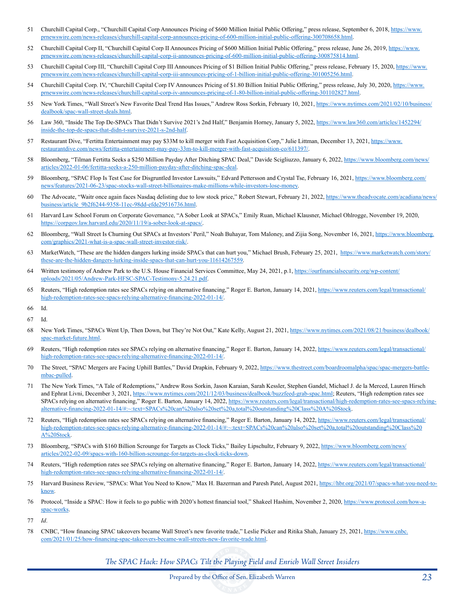- 51 Churchill Capital Corp., "Churchill Capital Corp Announces Pricing of \$600 Million Initial Public Offering," press release, September 6, 2018, https://www. prnewswire.com/news-releases/churchill-capital-corp-announces-pricing-of-600-million-initial-public-offering-300708658.html.
- 52 Churchill Capital Corp II, "Churchill Capital Corp II Announces Pricing of \$600 Million Initial Public Offering," press release, June 26, 2019, https://www. prnewswire.com/news-releases/churchill-capital-corp-ii-announces-pricing-of-600-million-initial-public-offering-300875814.html.
- 53 Churchill Capital Corp III, "Churchill Capital Corp III Announces Pricing of \$1 Billion Initial Public Offering," press release, February 15, 2020, https://www. prnewswire.com/news-releases/churchill-capital-corp-iii-announces-pricing-of-1-billion-initial-public-offering-301005256.html.
- 54 Churchill Capital Corp. IV, "Churchill Capital Corp IV Announces Pricing of \$1.80 Billion Initial Public Offering," press release, July 30, 2020, https://www. prnewswire.com/news-releases/churchill-capital-corp-iv-announces-pricing-of-1-80-billion-initial-public-offering-301102827.html.
- 55 New York Times, "Wall Street's New Favorite Deal Trend Has Issues," Andrew Ross Sorkin, February 10, 2021, https://www.nytimes.com/2021/02/10/business/ dealbook/spac-wall-street-deals.html.
- 56 Law 360, "Inside The Top De-SPACs That Didn't Survive 2021's 2nd Half," Benjamin Horney, January 5, 2022, https://www.law360.com/articles/1452294/ inside-the-top-de-spacs-that-didn-t-survive-2021-s-2nd-half.
- 57 Restaurant Dive, "Fertitta Entertainment may pay \$33M to kill merger with Fast Acquisition Corp," Julie Littman, December 13, 2021, https://www. restaurantdive.com/news/fertitta-entertainment-may-pay-33m-to-kill-merger-with-fast-acquisition-co/611397/.
- 58 Bloomberg, "Tilman Fertitta Seeks a \$250 Million Payday After Ditching SPAC Deal," Davide Scigliuzzo, January 6, 2022, https://www.bloomberg.com/news/ articles/2022-01-06/fertitta-seeks-a-250-million-payday-after-ditching-spac-deal.
- 59 Bloomberg, "SPAC Flop Is Test Case for Disgruntled Investor Lawsuits," Edvard Pettersson and Crystal Tse, February 16, 2021, https://www.bloomberg.com/ news/features/2021-06-23/spac-stocks-wall-street-billionaires-make-millions-while-investors-lose-money.
- 60 The Advocate, "Waitr once again faces Nasdaq delisting due to low stock price," Robert Stewart, February 21, 2022, https://www.theadvocate.com/acadiana/news/ business/article\_9b2f6244-9358-11ec-98dd-efde29516736.html.
- 61 Harvard Law School Forum on Corporate Governance, "A Sober Look at SPACs," Emily Ruan, Michael Klausner, Michael Ohlrogge, November 19, 2020, https://corpgov.law.harvard.edu/2020/11/19/a-sober-look-at-spacs/.
- 62 Bloomberg, "Wall Street Is Churning Out SPACs at Investors' Peril," Noah Buhayar, Tom Maloney, and Zijia Song, November 16, 2021, https://www.bloomberg. com/graphics/2021-what-is-a-spac-wall-street-investor-risk/.
- 63 MarketWatch, "These are the hidden dangers lurking inside SPACs that can hurt you," Michael Brush, February 25, 2021, https://www.marketwatch.com/story/ these-are-the-hidden-dangers-lurking-inside-spacs-that-can-hurt-you-11614267559.
- 64 Written testimony of Andrew Park to the U.S. House Financial Services Committee, May 24, 2021, p.1, https://ourfinancialsecurity.org/wp-content/ uploads/2021/05/Andrew-Park-HFSC-SPAC-Testimony-5.24.21.pdf.
- 65 Reuters, "High redemption rates see SPACs relying on alternative financing," Roger E. Barton, January 14, 2021, https://www.reuters.com/legal/transactional/ high-redemption-rates-see-spacs-relying-alternative-financing-2022-01-14/.
- 66 Id.
- 67 Id.
- 68 New York Times, "SPACs Went Up, Then Down, but They're Not Out," Kate Kelly, August 21, 2021, https://www.nytimes.com/2021/08/21/business/dealbook/ spac-market-future.html.
- 69 Reuters, "High redemption rates see SPACs relying on alternative financing," Roger E. Barton, January 14, 2022, https://www.reuters.com/legal/transactional/ high-redemption-rates-see-spacs-relying-alternative-financing-2022-01-14/.
- 70 The Street, "SPAC Mergers are Facing Uphill Battles," David Drapkin, February 9, 2022, https://www.thestreet.com/boardroomalpha/spac/spac-mergers-battlembac-pulled.
- 71 The New York Times, "A Tale of Redemptions," Andrew Ross Sorkin, Jason Karaian, Sarah Kessler, Stephen Gandel, Michael J. de la Merced, Lauren Hirsch and Ephrat Livni, December 3, 2021, https://www.nytimes.com/2021/12/03/business/dealbook/buzzfeed-grab-spac.html; Reuters, "High redemption rates see SPACs relying on alternative financing," Roger E. Barton, January 14, 2022, https://www.reuters.com/legal/transactional/high-redemption-rates-see-spacs-relyingalternative-financing-2022-01-14/#:~:text=SPACs%20can%20also%20set%20a,total%20outstanding%20Class%20A%20Stock.
- 72 Reuters, "High redemption rates see SPACs relying on alternative financing," Roger E. Barton, January 14, 2022, https://www.reuters.com/legal/transactional/ high-redemption-rates-see-spacs-relying-alternative-financing-2022-01-14/#:~:text=SPACs%20can%20also%20set%20a,total%20outstanding%20Class%20 A%20Stock.
- 73 Bloomberg, "SPACs with \$160 Billion Scrounge for Targets as Clock Ticks," Bailey Lipschultz, February 9, 2022, https://www.bloomberg.com/news/ articles/2022-02-09/spacs-with-160-billion-scrounge-for-targets-as-clock-ticks-down.
- 74 Reuters, "High redemption rates see SPACs relying on alternative financing," Roger E. Barton, January 14, 2022, https://www.reuters.com/legal/transactional/ high-redemption-rates-see-spacs-relying-alternative-financing-2022-01-14/.
- 75 Harvard Business Review, "SPACs: What You Need to Know," Max H. Bazerman and Paresh Patel, August 2021, https://hbr.org/2021/07/spacs-what-you-need-toknow.
- 76 Protocol, "Inside a SPAC: How it feels to go public with 2020's hottest financial tool," Shakeel Hashim, November 2, 2020, https://www.protocol.com/how-aspac-works.
- 77 *Id*.
- 78 CNBC, "How financing SPAC takeovers became Wall Street's new favorite trade," Leslie Picker and Ritika Shah, January 25, 2021, https://www.cnbc. com/2021/01/25/how-financing-spac-takeovers-became-wall-streets-new-favorite-trade.html.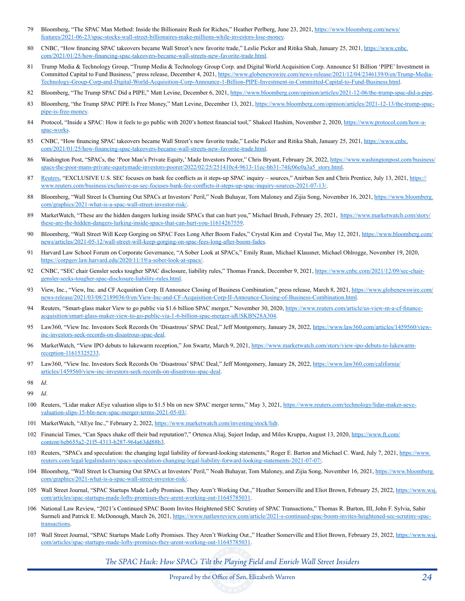- 79 Bloomberg, "The SPAC Man Method: Inside the Billionaire Rush for Riches," Heather Perlberg, June 23, 2021, https://www.bloomberg.com/news/ features/2021-06-23/spac-stocks-wall-street-billionaires-make-millions-while-investors-lose-money.
- 80 CNBC, "How financing SPAC takeovers became Wall Street's new favorite trade," Leslie Picker and Ritika Shah, January 25, 2021, https://www.cnbc. com/2021/01/25/how-financing-spac-takeovers-became-wall-streets-new-favorite-trade.html.
- 81 Trump Media & Technology Group, "Trump Media & Technology Group Corp. and Digital World Acquisition Corp. Announce \$1 Billion 'PIPE' Investment in Committed Capital to Fund Business," press release, December 4, 2021, https://www.globenewswire.com/news-release/2021/12/04/2346139/0/en/Trump-Media-Technology-Group-Corp-and-Digital-World-Acquisition-Corp-Announce-1-Billion-PIPE-Investment-in-Committed-Capital-to-Fund-Business.html.
- 82 Bloomberg, "The Trump SPAC Did a PIPE," Matt Levine, December 6, 2021, https://www.bloomberg.com/opinion/articles/2021-12-06/the-trump-spac-did-a-pipe.
- 83 Bloomberg, "the Trump SPAC PIPE Is Free Money," Matt Levine, December 13, 2021, https://www.bloomberg.com/opinion/articles/2021-12-13/the-trump-spacpipe-is-free-money.
- 84 Protocol, "Inside a SPAC: How it feels to go public with 2020's hottest financial tool," Shakeel Hashim, November 2, 2020, https://www.protocol.com/how-aspac-works.
- 85 CNBC, "How financing SPAC takeovers became Wall Street's new favorite trade," Leslie Picker and Ritika Shah, January 25, 2021, https://www.cnbc. com/2021/01/25/how-financing-spac-takeovers-became-wall-streets-new-favorite-trade.html.
- 86 Washington Post, "SPACs, the 'Poor Man's Private Equity,' Made Investors Poorer," Chris Bryant, February 28, 2022, https://www.washingtonpost.com/business/ spacs-the-poor-mans-private-equitymade-investors-poorer/2022/02/25/251410c4-9613-11ec-bb31-74fc06c0a3a5\_story.html.
- 87 Reuters, "EXCLUSIVE U.S. SEC focuses on bank fee conflicts as it steps-up SPAC inquiry sources," Anirban Sen and Chris Prentice, July 13, 2021, https:// www.reuters.com/business/exclusive-us-sec-focuses-bank-fee-conflicts-it-steps-up-spac-inquiry-sources-2021-07-13/.
- 88 Bloomberg, "Wall Street Is Churning Out SPACs at Investors' Peril," Noah Buhayar, Tom Maloney and Zijia Song, November 16, 2021, https://www.bloomberg. com/graphics/2021-what-is-a-spac-wall-street-investor-risk/.
- 89 MarketWatch, "These are the hidden dangers lurking inside SPACs that can hurt you," Michael Brush, February 25, 2021, https://www.marketwatch.com/story/ these-are-the-hidden-dangers-lurking-inside-spacs-that-can-hurt-you-11614267559.
- 90 Bloomberg, "Wall Street Will Keep Gorging on SPAC Fees Long After Boom Fades," Crystal Kim and Crystal Tse, May 12, 2021, https://www.bloomberg.com/ news/articles/2021-05-12/wall-street-will-keep-gorging-on-spac-fees-long-after-boom-fades.
- 91 Harvard Law School Forum on Corporate Governance, "A Sober Look at SPACs," Emily Ruan, Michael Klausner, Michael Ohlrogge, November 19, 2020, https://corpgov.law.harvard.edu/2020/11/19/a-sober-look-at-spacs/.
- 92 CNBC, "SEC chair Gensler seeks tougher SPAC disclosure, liability rules," Thomas Franck, December 9, 2021, https://www.cnbc.com/2021/12/09/sec-chairgensler-seeks-tougher-spac-disclosure-liability-rules.html.
- 93 View, Inc., "View, Inc. and CF Acqusition Corp. II Announce Closing of Business Combination," press release, March 8, 2021, https://www.globenewswire.com/ news-release/2021/03/08/2189036/0/en/View-Inc-and-CF-Acquisition-Corp-II-Announce-Closing-of-Business-Combination.html.
- 94 Reuters, "Smart-glass maker View to go public via \$1.6 billion SPAC merger," November 30, 2020, https://www.reuters.com/article/us-view-m-a-cf-financeacquisition/smart-glass-maker-view-to-go-public-via-1-6-billion-spac-merger-idUSKBN28A304.
- 95 Law360, "View Inc. Investors Seek Records On 'Disastrous' SPAC Deal," Jeff Montgomery, January 28, 2022, https://www.law360.com/articles/1459560/viewinc-investors-seek-records-on-disastrous-spac-deal.
- 96 MarketWatch, "View IPO debuts to lukewarm reception," Jon Swartz, March 9, 2021, https://www.marketwatch.com/story/view-ipo-debuts-to-lukewarmreception-11615325233.
- 97 Law360, "View Inc. Investors Seek Records On 'Disastrous' SPAC Deal," Jeff Montgomery, January 28, 2022, https://www.law360.com/california/ articles/1459560/view-inc-investors-seek-records-on-disastrous-spac-deal.
- 98 *Id*.

99 *Id*.

- 100 Reuters, "Lidar maker AEye valuation slips to \$1.5 bln on new SPAC merger terms," May 3, 2021, https://www.reuters.com/technology/lidar-maker-aeyevaluation-slips-15-bln-new-spac-merger-terms-2021-05-03/.
- 101 MarketWatch, "AEye Inc.," February 2, 2022, https://www.marketwatch.com/investing/stock/lidr.
- 102 Financial Times, "Can Spacs shake off their bad reputation?," Ortenca Aliaj, Sujeet Indap, and Miles Kruppa, August 13, 2020, https://www.ft.com/ content/6eb655a2-21f5-4313-b287-964a63dd88b3.
- 103 Reuters, "SPACs and speculation: the changing legal liability of forward-looking statements," Roger E. Barton and Michael C. Ward, July 7, 2021, https://www. reuters.com/legal/legalindustry/spacs-speculation-changing-legal-liability-forward-looking-statements-2021-07-07/.
- 104 Bloomberg, "Wall Street Is Churning Out SPACs at Investors' Peril," Noah Buhayar, Tom Maloney, and Zijia Song, November 16, 2021, https://www.bloomberg. com/graphics/2021-what-is-a-spac-wall-street-investor-risk/.
- 105 Wall Street Journal, "SPAC Startups Made Lofty Promises. They Aren't Working Out.," Heather Somerville and Eliot Brown, February 25, 2022, https://www.wsj. com/articles/spac-startups-made-lofty-promises-they-arent-working-out-11645785031.
- 106 National Law Review, "2021's Continued SPAC Boom Invites Heightened SEC Scrutiny of SPAC Transactions," Thomas R. Burton, III, John F. Sylvia, Sahir Surmeli and Patrick E. McDonough, March 26, 2021, https://www.natlawreview.com/article/2021-s-continued-spac-boom-invites-heightened-sec-scrutiny-spactransactions.
- 107 Wall Street Journal, "SPAC Startups Made Lofty Promises. They Aren't Working Out.," Heather Somerville and Eliot Brown, February 25, 2022, https://www.wsj. com/articles/spac-startups-made-lofty-promises-they-arent-working-out-11645785031.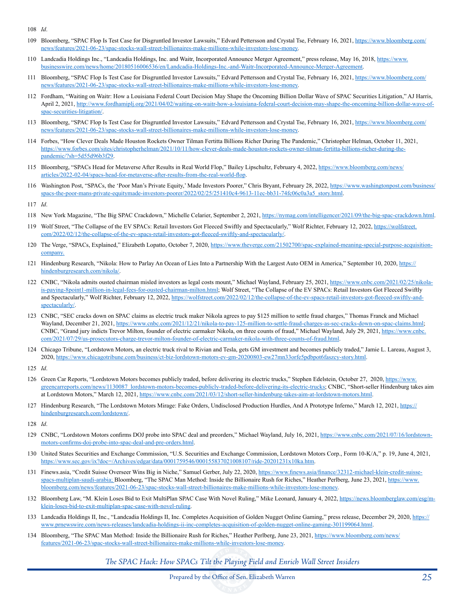108 *Id*.

- 109 Bloomberg, "SPAC Flop Is Test Case for Disgruntled Investor Lawsuits," Edvard Pettersson and Crystal Tse, February 16, 2021, https://www.bloomberg.com/ news/features/2021-06-23/spac-stocks-wall-street-billionaires-make-millions-while-investors-lose-money.
- 110 Landcadia Holdings Inc., "Landcadia Holdings, Inc. and Waitr, Incorporated Announce Merger Agreement," press release, May 16, 2018, https://www. businesswire.com/news/home/20180516006536/en/Landcadia-Holdings-Inc.-and-Waitr-Incorporated-Announce-Merger-Agreement.
- 111 Bloomberg, "SPAC Flop Is Test Case for Disgruntled Investor Lawsuits," Edvard Pettersson and Crystal Tse, February 16, 2021, https://www.bloomberg.com/ news/features/2021-06-23/spac-stocks-wall-street-billionaires-make-millions-while-investors-lose-money.
- 112 Fordham, "Waiting on Waitr: How a Louisiana Federal Court Decision May Shape the Oncoming Billion Dollar Wave of SPAC Securities Litigation," AJ Harris, April 2, 2021, http://www.fordhamiplj.org/2021/04/02/waiting-on-waitr-how-a-louisiana-federal-court-decision-may-shape-the-oncoming-billion-dollar-wave-ofspac-securities-litigation/.
- 113 Bloomberg, "SPAC Flop Is Test Case for Disgruntled Investor Lawsuits," Edvard Pettersson and Crystal Tse, February 16, 2021, https://www.bloomberg.com/ news/features/2021-06-23/spac-stocks-wall-street-billionaires-make-millions-while-investors-lose-money.
- 114 Forbes, "How Clever Deals Made Houston Rockets Owner Tilman Fertitta Billions Richer During The Pandemic," Christopher Helman, October 11, 2021, https://www.forbes.com/sites/christopherhelman/2021/10/11/how-clever-deals-made-houston-rockets-owner-tilman-fertitta-billions-richer-during-thepandemic/?sh=5d55d96b3f29.
- 115 Bloomberg, "SPACs Head for Metaverse After Results in Real World Flop," Bailey Lipschultz, February 4, 2022, https://www.bloomberg.com/news/ articles/2022-02-04/spacs-head-for-metaverse-after-results-from-the-real-world-flop.
- 116 Washington Post, "SPACs, the 'Poor Man's Private Equity,' Made Investors Poorer," Chris Bryant, February 28, 2022, https://www.washingtonpost.com/business/ spacs-the-poor-mans-private-equitymade-investors-poorer/2022/02/25/251410c4-9613-11ec-bb31-74fc06c0a3a5\_story.html.
- 117 *Id*.
- 118 New York Magazine, "The Big SPAC Crackdown," Michelle Celarier, September 2, 2021, https://nymag.com/intelligencer/2021/09/the-big-spac-crackdown.html.
- 119 Wolf Street, "The Collapse of the EV SPACs: Retail Investors Got Fleeced Swiftly and Spectacularly," Wolf Richter, February 12, 2022, https://wolfstreet. com/2022/02/12/the-collapse-of-the-ev-spacs-retail-investors-got-fleeced-swiftly-and-spectacularly/.
- 120 The Verge, "SPACs, Explained," Elizabeth Lopatto, October 7, 2020, https://www.theverge.com/21502700/spac-explained-meaning-special-purpose-acquisitioncompany.
- 121 Hindenburg Research, "Nikola: How to Parlay An Ocean of Lies Into a Partnership With the Largest Auto OEM in America," September 10, 2020, https:// hindenburgresearch.com/nikola/.
- 122 CNBC, "Nikola admits ousted chairman misled investors as legal costs mount," Michael Wayland, February 25, 2021, https://www.cnbc.com/2021/02/25/nikolais-paying-8point1-million-in-legal-fees-for-ousted-chairman-milton.html; Wolf Street, "The Collapse of the EV SPACs: Retail Investors Got Fleeced Swiftly and Spectacularly," Wolf Richter, February 12, 2022, https://wolfstreet.com/2022/02/12/the-collapse-of-the-ev-spacs-retail-investors-got-fleeced-swiftly-andspectacularly/.
- 123 CNBC, "SEC cracks down on SPAC claims as electric truck maker Nikola agrees to pay \$125 million to settle fraud charges," Thomas Franck and Michael Wayland, December 21, 2021, https://www.cnbc.com/2021/12/21/nikola-to-pay-125-million-to-settle-fraud-charges-as-sec-cracks-down-on-spac-claims.html; CNBC, "Grand jury indicts Trevor Milton, founder of electric carmaker Nikola, on three counts of fraud," Michael Wayland, July 29, 2021, https://www.cnbc. com/2021/07/29/us-prosecutors-charge-trevor-milton-founder-of-electric-carmaker-nikola-with-three-counts-of-fraud.html.
- 124 Chicago Tribune, "Lordstown Motors, an electric truck rival to Rivian and Tesla, gets GM investment and becomes publicly traded," Jamie L. Lareau, August 3, 2020, https://www.chicagotribune.com/business/ct-biz-lordstown-motors-ev-gm-20200803-ew27mn33orfe5pdbpot6faszcy-story.html.
- 125 *Id*.
- 126 Green Car Reports, "Lordstown Motors becomes publicly traded, before delivering its electric trucks," Stephen Edelstein, October 27, 2020, https://www. greencarreports.com/news/1130087\_lordstown-motors-becomes-publicly-traded-before-delivering-its-electric-trucks; CNBC, "Short-seller Hindenburg takes aim at Lordstown Motors," March 12, 2021, https://www.cnbc.com/2021/03/12/short-seller-hindenburg-takes-aim-at-lordstown-motors.html.
- 127 Hindenburg Research, "The Lordstown Motors Mirage: Fake Orders, Undisclosed Production Hurdles, And A Prototype Inferno," March 12, 2021, https:// hindenburgresearch.com/lordstown/.
- 128 *Id*.
- 129 CNBC, "Lordstown Motors confirms DOJ probe into SPAC deal and preorders," Michael Wayland, July 16, 2021, https://www.cnbc.com/2021/07/16/lordstownmotors-confirms-doj-probe-into-spac-deal-and-pre-orders.html.
- 130 United States Securities and Exchange Commission, "U.S. Securities and Exchange Commission, Lordstown Motors Corp., Form 10-K/A," p. 19, June 4, 2021, https://www.sec.gov/ix?doc=/Archives/edgar/data/0001759546/000155837021008107/ride-20201231x10ka.htm.
- 131 Finews.asia, "Credit Suisse Overseer Wins Big in Niche," Samuel Gerber, July 22, 2020, https://www.finews.asia/finance/32312-michael-klein-credit-suissespacs-multiplan-saudi-arabia; Bloomberg, "The SPAC Man Method: Inside the Billionaire Rush for Riches," Heather Perlberg, June 23, 2021, https://www. bloomberg.com/news/features/2021-06-23/spac-stocks-wall-street-billionaires-make-millions-while-investors-lose-money.
- 132 Bloomberg Law, "M. Klein Loses Bid to Exit MultiPlan SPAC Case With Novel Ruling," Mike Leonard, January 4, 2022, https://news.bloomberglaw.com/esg/mklein-loses-bid-to-exit-multiplan-spac-case-with-novel-ruling.
- 133 Landcadia Holdings II, Inc., "Landcadia Holdings II, Inc. Completes Acquisition of Golden Nugget Online Gaming," press release, December 29, 2020, https:// www.prnewswire.com/news-releases/landcadia-holdings-ii-inc-completes-acquisition-of-golden-nugget-online-gaming-301199064.html.
- 134 Bloomberg, "The SPAC Man Method: Inside the Billionaire Rush for Riches," Heather Perlberg, June 23, 2021, https://www.bloomberg.com/news/ features/2021-06-23/spac-stocks-wall-street-billionaires-make-millions-while-investors-lose-money.